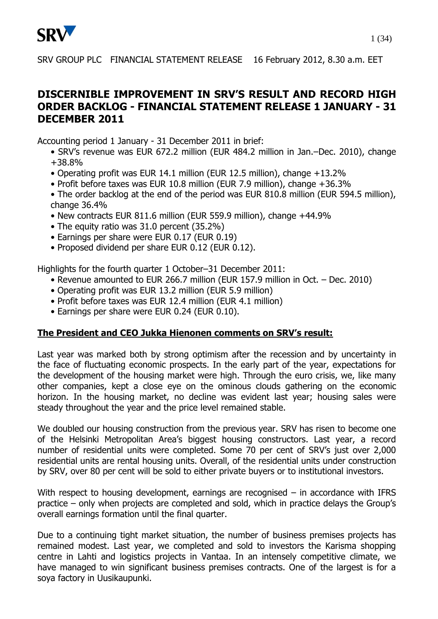

## **DISCERNIBLE IMPROVEMENT IN SRV'S RESULT AND RECORD HIGH ORDER BACKLOG - FINANCIAL STATEMENT RELEASE 1 JANUARY - 31 DECEMBER 2011**

Accounting period 1 January - 31 December 2011 in brief:

- SRV's revenue was EUR 672.2 million (EUR 484.2 million in Jan.–Dec. 2010), change +38.8%
- Operating profit was EUR 14.1 million (EUR 12.5 million), change +13.2%
- Profit before taxes was EUR 10.8 million (EUR 7.9 million), change +36.3%
- The order backlog at the end of the period was EUR 810.8 million (EUR 594.5 million), change 36.4%
- New contracts EUR 811.6 million (EUR 559.9 million), change +44.9%
- The equity ratio was 31.0 percent (35.2%)
- Earnings per share were EUR 0.17 (EUR 0.19)
- Proposed dividend per share EUR 0.12 (EUR 0.12).

Highlights for the fourth quarter 1 October–31 December 2011:

- Revenue amounted to EUR 266.7 million (EUR 157.9 million in Oct. Dec. 2010)
- Operating profit was EUR 13.2 million (EUR 5.9 million)
- Profit before taxes was EUR 12.4 million (EUR 4.1 million)
- Earnings per share were EUR 0.24 (EUR 0.10).

## **The President and CEO Jukka Hienonen comments on SRV's result:**

Last year was marked both by strong optimism after the recession and by uncertainty in the face of fluctuating economic prospects. In the early part of the year, expectations for the development of the housing market were high. Through the euro crisis, we, like many other companies, kept a close eye on the ominous clouds gathering on the economic horizon. In the housing market, no decline was evident last year; housing sales were steady throughout the year and the price level remained stable.

We doubled our housing construction from the previous year. SRV has risen to become one of the Helsinki Metropolitan Area's biggest housing constructors. Last year, a record number of residential units were completed. Some 70 per cent of SRV's just over 2,000 residential units are rental housing units. Overall, of the residential units under construction by SRV, over 80 per cent will be sold to either private buyers or to institutional investors.

With respect to housing development, earnings are recognised – in accordance with IFRS practice – only when projects are completed and sold, which in practice delays the Group's overall earnings formation until the final quarter.

Due to a continuing tight market situation, the number of business premises projects has remained modest. Last year, we completed and sold to investors the Karisma shopping centre in Lahti and logistics projects in Vantaa. In an intensely competitive climate, we have managed to win significant business premises contracts. One of the largest is for a soya factory in Uusikaupunki.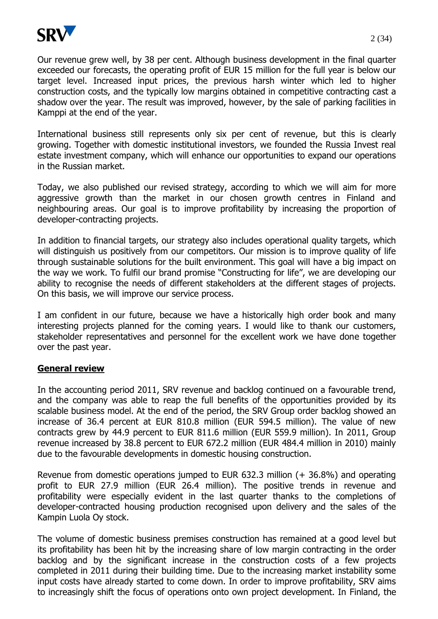

Our revenue grew well, by 38 per cent. Although business development in the final quarter exceeded our forecasts, the operating profit of EUR 15 million for the full year is below our target level. Increased input prices, the previous harsh winter which led to higher construction costs, and the typically low margins obtained in competitive contracting cast a shadow over the year. The result was improved, however, by the sale of parking facilities in Kamppi at the end of the year.

International business still represents only six per cent of revenue, but this is clearly growing. Together with domestic institutional investors, we founded the Russia Invest real estate investment company, which will enhance our opportunities to expand our operations in the Russian market.

Today, we also published our revised strategy, according to which we will aim for more aggressive growth than the market in our chosen growth centres in Finland and neighbouring areas. Our goal is to improve profitability by increasing the proportion of developer-contracting projects.

In addition to financial targets, our strategy also includes operational quality targets, which will distinguish us positively from our competitors. Our mission is to improve quality of life through sustainable solutions for the built environment. This goal will have a big impact on the way we work. To fulfil our brand promise "Constructing for life", we are developing our ability to recognise the needs of different stakeholders at the different stages of projects. On this basis, we will improve our service process.

I am confident in our future, because we have a historically high order book and many interesting projects planned for the coming years. I would like to thank our customers, stakeholder representatives and personnel for the excellent work we have done together over the past year.

#### **General review**

In the accounting period 2011, SRV revenue and backlog continued on a favourable trend, and the company was able to reap the full benefits of the opportunities provided by its scalable business model. At the end of the period, the SRV Group order backlog showed an increase of 36.4 percent at EUR 810.8 million (EUR 594.5 million). The value of new contracts grew by 44.9 percent to EUR 811.6 million (EUR 559.9 million). In 2011, Group revenue increased by 38.8 percent to EUR 672.2 million (EUR 484.4 million in 2010) mainly due to the favourable developments in domestic housing construction.

Revenue from domestic operations jumped to EUR 632.3 million (+ 36.8%) and operating profit to EUR 27.9 million (EUR 26.4 million). The positive trends in revenue and profitability were especially evident in the last quarter thanks to the completions of developer-contracted housing production recognised upon delivery and the sales of the Kampin Luola Oy stock.

The volume of domestic business premises construction has remained at a good level but its profitability has been hit by the increasing share of low margin contracting in the order backlog and by the significant increase in the construction costs of a few projects completed in 2011 during their building time. Due to the increasing market instability some input costs have already started to come down. In order to improve profitability, SRV aims to increasingly shift the focus of operations onto own project development. In Finland, the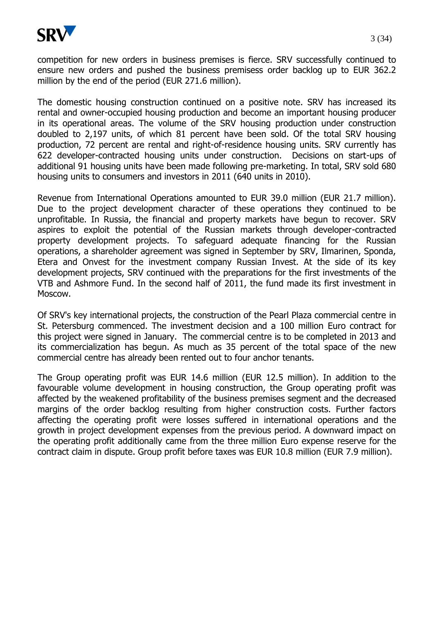

competition for new orders in business premises is fierce. SRV successfully continued to ensure new orders and pushed the business premisess order backlog up to EUR 362.2 million by the end of the period (EUR 271.6 million).

The domestic housing construction continued on a positive note. SRV has increased its rental and owner-occupied housing production and become an important housing producer in its operational areas. The volume of the SRV housing production under construction doubled to 2,197 units, of which 81 percent have been sold. Of the total SRV housing production, 72 percent are rental and right-of-residence housing units. SRV currently has 622 developer-contracted housing units under construction. Decisions on start-ups of additional 91 housing units have been made following pre-marketing. In total, SRV sold 680 housing units to consumers and investors in 2011 (640 units in 2010).

Revenue from International Operations amounted to EUR 39.0 million (EUR 21.7 million). Due to the project development character of these operations they continued to be unprofitable. In Russia, the financial and property markets have begun to recover. SRV aspires to exploit the potential of the Russian markets through developer-contracted property development projects. To safeguard adequate financing for the Russian operations, a shareholder agreement was signed in September by SRV, Ilmarinen, Sponda, Etera and Onvest for the investment company Russian Invest. At the side of its key development projects, SRV continued with the preparations for the first investments of the VTB and Ashmore Fund. In the second half of 2011, the fund made its first investment in Moscow.

Of SRV's key international projects, the construction of the Pearl Plaza commercial centre in St. Petersburg commenced. The investment decision and a 100 million Euro contract for this project were signed in January. The commercial centre is to be completed in 2013 and its commercialization has begun. As much as 35 percent of the total space of the new commercial centre has already been rented out to four anchor tenants.

The Group operating profit was EUR 14.6 million (EUR 12.5 million). In addition to the favourable volume development in housing construction, the Group operating profit was affected by the weakened profitability of the business premises segment and the decreased margins of the order backlog resulting from higher construction costs. Further factors affecting the operating profit were losses suffered in international operations and the growth in project development expenses from the previous period. A downward impact on the operating profit additionally came from the three million Euro expense reserve for the contract claim in dispute. Group profit before taxes was EUR 10.8 million (EUR 7.9 million).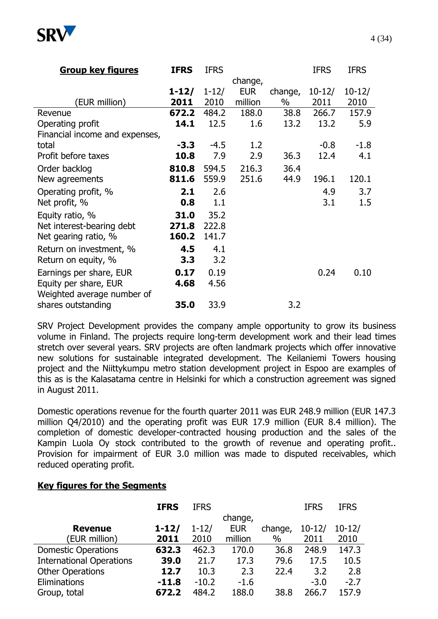

| <b>Group key figures</b>       | <b>IFRS</b> | <b>IFRS</b> |            |         | <b>IFRS</b> | <b>IFRS</b> |
|--------------------------------|-------------|-------------|------------|---------|-------------|-------------|
|                                |             |             | change,    |         |             |             |
|                                | $1 - 12/$   | $1 - 12/$   | <b>EUR</b> | change, | $10 - 12/$  | $10 - 12/$  |
| (EUR million)                  | 2011        | 2010        | million    | $\%$    | 2011        | 2010        |
| Revenue                        | 672.2       | 484.2       | 188.0      | 38.8    | 266.7       | 157.9       |
| Operating profit               | 14.1        | 12.5        | 1.6        | 13.2    | 13.2        | 5.9         |
| Financial income and expenses, |             |             |            |         |             |             |
| total                          | $-3.3$      | $-4.5$      | 1.2        |         | $-0.8$      | $-1.8$      |
| Profit before taxes            | 10.8        | 7.9         | 2.9        | 36.3    | 12.4        | 4.1         |
| Order backlog                  | 810.8       | 594.5       | 216.3      | 36.4    |             |             |
| New agreements                 | 811.6       | 559.9       | 251.6      | 44.9    | 196.1       | 120.1       |
| Operating profit, %            | 2.1         | 2.6         |            |         | 4.9         | 3.7         |
| Net profit, %                  | 0.8         | 1.1         |            |         | 3.1         | 1.5         |
| Equity ratio, %                | 31.0        | 35.2        |            |         |             |             |
| Net interest-bearing debt      | 271.8       | 222.8       |            |         |             |             |
| Net gearing ratio, %           | 160.2       | 141.7       |            |         |             |             |
| Return on investment, %        | 4.5         | 4.1         |            |         |             |             |
| Return on equity, %            | 3.3         | 3.2         |            |         |             |             |
| Earnings per share, EUR        | 0.17        | 0.19        |            |         | 0.24        | 0.10        |
| Equity per share, EUR          | 4.68        | 4.56        |            |         |             |             |
| Weighted average number of     |             |             |            |         |             |             |
| shares outstanding             | 35.0        | 33.9        |            | 3.2     |             |             |

SRV Project Development provides the company ample opportunity to grow its business volume in Finland. The projects require long-term development work and their lead times stretch over several years. SRV projects are often landmark projects which offer innovative new solutions for sustainable integrated development. The Keilaniemi Towers housing project and the Niittykumpu metro station development project in Espoo are examples of this as is the Kalasatama centre in Helsinki for which a construction agreement was signed in August 2011.

Domestic operations revenue for the fourth quarter 2011 was EUR 248.9 million (EUR 147.3 million Q4/2010) and the operating profit was EUR 17.9 million (EUR 8.4 million). The completion of domestic developer-contracted housing production and the sales of the Kampin Luola Oy stock contributed to the growth of revenue and operating profit.. Provision for impairment of EUR 3.0 million was made to disputed receivables, which reduced operating profit.

#### **Key figures for the Segments**

|                                 | <b>IFRS</b> | <b>IFRS</b> |            |         | <b>IFRS</b> | <b>IFRS</b> |
|---------------------------------|-------------|-------------|------------|---------|-------------|-------------|
|                                 |             |             | change,    |         |             |             |
| <b>Revenue</b>                  | $1 - 12/$   | $1 - 12/$   | <b>EUR</b> | change, | $10 - 12/$  | $10 - 12/$  |
| (EUR million)                   | 2011        | 2010        | million    | $\%$    | 2011        | 2010        |
| <b>Domestic Operations</b>      | 632.3       | 462.3       | 170.0      | 36.8    | 248.9       | 147.3       |
| <b>International Operations</b> | 39.0        | 21.7        | 17.3       | 79.6    | 17.5        | 10.5        |
| <b>Other Operations</b>         | 12.7        | 10.3        | 2.3        | 22.4    | 3.2         | 2.8         |
| Eliminations                    | $-11.8$     | $-10.2$     | $-1.6$     |         | $-3.0$      | $-2.7$      |
| Group, total                    | 672.2       | 484.2       | 188.0      | 38.8    | 266.7       | 157.9       |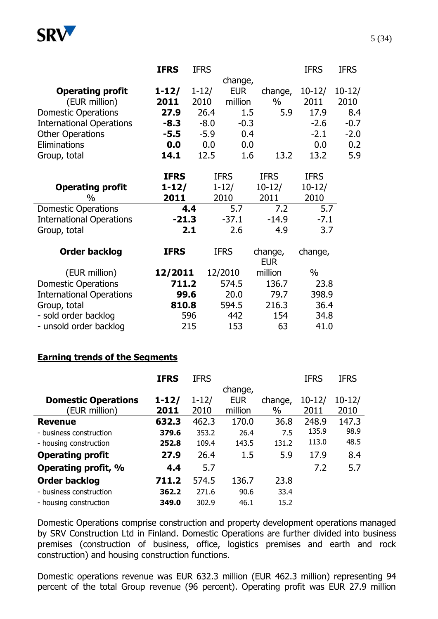

|                                 | <b>IFRS</b> | <b>IFRS</b> |             |                       | <b>IFRS</b> | <b>IFRS</b> |
|---------------------------------|-------------|-------------|-------------|-----------------------|-------------|-------------|
|                                 |             |             | change,     |                       |             |             |
| <b>Operating profit</b>         | $1 - 12/$   | $1 - 12/$   | <b>EUR</b>  | change,               | $10 - 12/$  | $10 - 12/$  |
| (EUR million)                   | 2011        | 2010        | million     | $\%$                  | 2011        | 2010        |
| <b>Domestic Operations</b>      | 27.9        | 26.4        | 1.5         | 5.9                   | 17.9        | 8.4         |
| <b>International Operations</b> | $-8.3$      | $-8.0$      | $-0.3$      |                       | $-2.6$      | $-0.7$      |
| <b>Other Operations</b>         | $-5.5$      | $-5.9$      | 0.4         |                       | $-2.1$      | $-2.0$      |
| Eliminations                    | 0.0         | 0.0         | 0.0         |                       | 0.0         | 0.2         |
| Group, total                    | 14.1        | 12.5        | 1.6         | 13.2                  | 13.2        | 5.9         |
|                                 |             |             |             |                       |             |             |
|                                 | <b>IFRS</b> |             | <b>IFRS</b> | <b>IFRS</b>           | <b>IFRS</b> |             |
| <b>Operating profit</b>         | $1 - 12/$   |             | $1 - 12/$   | $10 - 12/$            | $10-12/$    |             |
| $\%$                            | 2011        |             | 2010        | 2011                  | 2010        |             |
| <b>Domestic Operations</b>      |             | 4.4         | 5.7         | 7.2                   | 5.7         |             |
| <b>International Operations</b> | $-21.3$     |             | $-37.1$     | $-14.9$               | $-7.1$      |             |
| Group, total                    |             | 2.1         | 2.6         | 4.9                   | 3.7         |             |
| <b>Order backlog</b>            | <b>IFRS</b> |             | <b>IFRS</b> |                       | change,     |             |
|                                 |             |             |             | change,<br><b>EUR</b> |             |             |
| (EUR million)                   | 12/2011     |             | 12/2010     | million               | $\%$        |             |
| <b>Domestic Operations</b>      | 711.2       |             | 574.5       | 136.7                 | 23.8        |             |
| <b>International Operations</b> | 99.6        |             | 20.0        | 79.7                  | 398.9       |             |
| Group, total                    | 810.8       |             | 594.5       | 216.3                 | 36.4        |             |
| - sold order backlog            |             | 596         | 442         | 154                   | 34.8        |             |
| - unsold order backlog          |             | 215         | 153         | 63                    | 41.0        |             |
|                                 |             |             |             |                       |             |             |

#### **Earning trends of the Segments**

|                            | <b>IFRS</b> | <b>IFRS</b> |            |         | <b>IFRS</b> | <b>IFRS</b> |
|----------------------------|-------------|-------------|------------|---------|-------------|-------------|
|                            |             |             | change,    |         |             |             |
| <b>Domestic Operations</b> | $1 - 12/$   | $1 - 12/$   | <b>EUR</b> | change, | $10-12/$    | $10 - 12/$  |
| EUR million)               | 2011        | 2010        | million    | $\%$    | 2011        | 2010        |
| <b>Revenue</b>             | 632.3       | 462.3       | 170.0      | 36.8    | 248.9       | 147.3       |
| - business construction    | 379.6       | 353.2       | 26.4       | 7.5     | 135.9       | 98.9        |
| - housing construction     | 252.8       | 109.4       | 143.5      | 131.2   | 113.0       | 48.5        |
| <b>Operating profit</b>    | 27.9        | 26.4        | 1.5        | 5.9     | 17.9        | 8.4         |
| Operating profit, %        | 4.4         | 5.7         |            |         | 7.2         | 5.7         |
| <b>Order backlog</b>       | 711.2       | 574.5       | 136.7      | 23.8    |             |             |
| - business construction    | 362.2       | 271.6       | 90.6       | 33.4    |             |             |
| - housing construction     | 349.0       | 302.9       | 46.1       | 15.2    |             |             |

Domestic Operations comprise construction and property development operations managed by SRV Construction Ltd in Finland. Domestic Operations are further divided into business premises (construction of business, office, logistics premises and earth and rock construction) and housing construction functions.

Domestic operations revenue was EUR 632.3 million (EUR 462.3 million) representing 94 percent of the total Group revenue (96 percent). Operating profit was EUR 27.9 million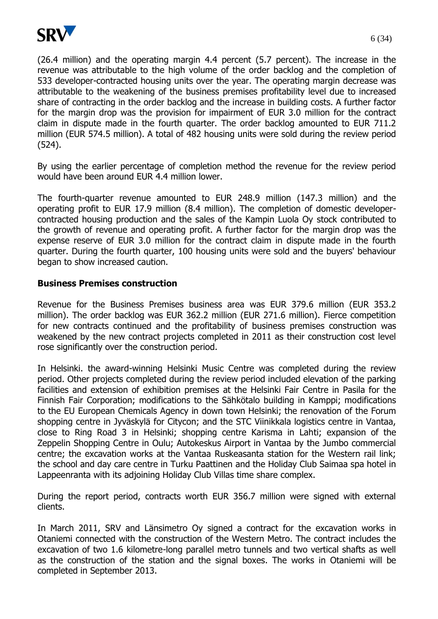

(26.4 million) and the operating margin 4.4 percent (5.7 percent). The increase in the revenue was attributable to the high volume of the order backlog and the completion of 533 developer-contracted housing units over the year. The operating margin decrease was attributable to the weakening of the business premises profitability level due to increased share of contracting in the order backlog and the increase in building costs. A further factor for the margin drop was the provision for impairment of EUR 3.0 million for the contract claim in dispute made in the fourth quarter. The order backlog amounted to EUR 711.2 million (EUR 574.5 million). A total of 482 housing units were sold during the review period (524).

By using the earlier percentage of completion method the revenue for the review period would have been around EUR 4.4 million lower.

The fourth-quarter revenue amounted to EUR 248.9 million (147.3 million) and the operating profit to EUR 17.9 million (8.4 million). The completion of domestic developercontracted housing production and the sales of the Kampin Luola Oy stock contributed to the growth of revenue and operating profit. A further factor for the margin drop was the expense reserve of EUR 3.0 million for the contract claim in dispute made in the fourth quarter. During the fourth quarter, 100 housing units were sold and the buyers' behaviour began to show increased caution.

## **Business Premises construction**

Revenue for the Business Premises business area was EUR 379.6 million (EUR 353.2 million). The order backlog was EUR 362.2 million (EUR 271.6 million). Fierce competition for new contracts continued and the profitability of business premises construction was weakened by the new contract projects completed in 2011 as their construction cost level rose significantly over the construction period.

In Helsinki. the award-winning Helsinki Music Centre was completed during the review period. Other projects completed during the review period included elevation of the parking facilities and extension of exhibition premises at the Helsinki Fair Centre in Pasila for the Finnish Fair Corporation; modifications to the Sähkötalo building in Kamppi; modifications to the EU European Chemicals Agency in down town Helsinki; the renovation of the Forum shopping centre in Jyväskylä for Citycon; and the STC Viinikkala logistics centre in Vantaa, close to Ring Road 3 in Helsinki; shopping centre Karisma in Lahti; expansion of the Zeppelin Shopping Centre in Oulu; Autokeskus Airport in Vantaa by the Jumbo commercial centre; the excavation works at the Vantaa Ruskeasanta station for the Western rail link; the school and day care centre in Turku Paattinen and the Holiday Club Saimaa spa hotel in Lappeenranta with its adjoining Holiday Club Villas time share complex.

During the report period, contracts worth EUR 356.7 million were signed with external clients.

In March 2011, SRV and Länsimetro Oy signed a contract for the excavation works in Otaniemi connected with the construction of the Western Metro. The contract includes the excavation of two 1.6 kilometre-long parallel metro tunnels and two vertical shafts as well as the construction of the station and the signal boxes. The works in Otaniemi will be completed in September 2013.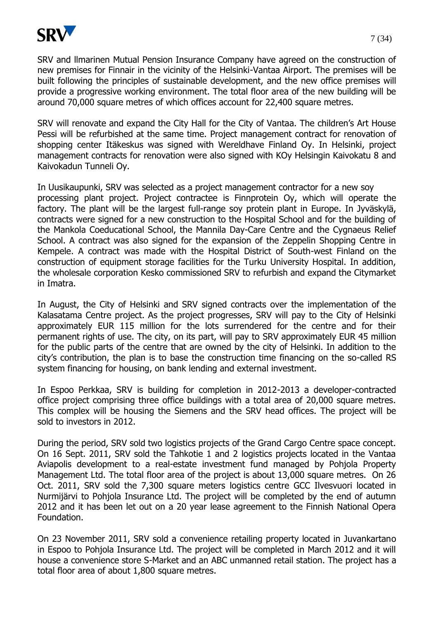

SRV and llmarinen Mutual Pension Insurance Company have agreed on the construction of new premises for Finnair in the vicinity of the Helsinki-Vantaa Airport. The premises will be built following the principles of sustainable development, and the new office premises will provide a progressive working environment. The total floor area of the new building will be around 70,000 square metres of which offices account for 22,400 square metres.

SRV will renovate and expand the City Hall for the City of Vantaa. The children's Art House Pessi will be refurbished at the same time. Project management contract for renovation of shopping center Itäkeskus was signed with Wereldhave Finland Oy. In Helsinki, project management contracts for renovation were also signed with KOy Helsingin Kaivokatu 8 and Kaivokadun Tunneli Oy.

In Uusikaupunki, SRV was selected as a project management contractor for a new soy processing plant project. Project contractee is Finnprotein Oy, which will operate the factory. The plant will be the largest full-range soy protein plant in Europe. In Jyväskylä, contracts were signed for a new construction to the Hospital School and for the building of the Mankola Coeducational School, the Mannila Day-Care Centre and the Cygnaeus Relief School. A contract was also signed for the expansion of the Zeppelin Shopping Centre in Kempele. A contract was made with the Hospital District of South-west Finland on the construction of equipment storage facilities for the Turku University Hospital. In addition, the wholesale corporation Kesko commissioned SRV to refurbish and expand the Citymarket in Imatra.

In August, the City of Helsinki and SRV signed contracts over the implementation of the Kalasatama Centre project. As the project progresses, SRV will pay to the City of Helsinki approximately EUR 115 million for the lots surrendered for the centre and for their permanent rights of use. The city, on its part, will pay to SRV approximately EUR 45 million for the public parts of the centre that are owned by the city of Helsinki. In addition to the city's contribution, the plan is to base the construction time financing on the so-called RS system financing for housing, on bank lending and external investment.

In Espoo Perkkaa, SRV is building for completion in 2012-2013 a developer-contracted office project comprising three office buildings with a total area of 20,000 square metres. This complex will be housing the Siemens and the SRV head offices. The project will be sold to investors in 2012.

During the period, SRV sold two logistics projects of the Grand Cargo Centre space concept. On 16 Sept. 2011, SRV sold the Tahkotie 1 and 2 logistics projects located in the Vantaa Aviapolis development to a real-estate investment fund managed by Pohjola Property Management Ltd. The total floor area of the project is about 13,000 square metres. On 26 Oct. 2011, SRV sold the 7,300 square meters logistics centre GCC Ilvesvuori located in Nurmijärvi to Pohjola Insurance Ltd. The project will be completed by the end of autumn 2012 and it has been let out on a 20 year lease agreement to the Finnish National Opera Foundation.

On 23 November 2011, SRV sold a convenience retailing property located in Juvankartano in Espoo to Pohjola Insurance Ltd. The project will be completed in March 2012 and it will house a convenience store S-Market and an ABC unmanned retail station. The project has a total floor area of about 1,800 square metres.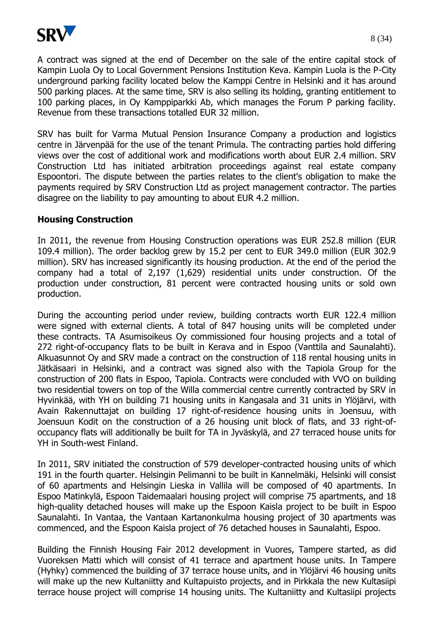

A contract was signed at the end of December on the sale of the entire capital stock of Kampin Luola Oy to Local Government Pensions Institution Keva. Kampin Luola is the P-City underground parking facility located below the Kamppi Centre in Helsinki and it has around 500 parking places. At the same time, SRV is also selling its holding, granting entitlement to 100 parking places, in Oy Kamppiparkki Ab, which manages the Forum P parking facility. Revenue from these transactions totalled EUR 32 million.

SRV has built for Varma Mutual Pension Insurance Company a production and logistics centre in Järvenpää for the use of the tenant Primula. The contracting parties hold differing views over the cost of additional work and modifications worth about EUR 2.4 million. SRV Construction Ltd has initiated arbitration proceedings against real estate company Espoontori. The dispute between the parties relates to the client's obligation to make the payments required by SRV Construction Ltd as project management contractor. The parties disagree on the liability to pay amounting to about EUR 4.2 million.

#### **Housing Construction**

In 2011, the revenue from Housing Construction operations was EUR 252.8 million (EUR 109.4 million). The order backlog grew by 15.2 per cent to EUR 349.0 million (EUR 302.9 million). SRV has increased significantly its housing production. At the end of the period the company had a total of 2,197 (1,629) residential units under construction. Of the production under construction, 81 percent were contracted housing units or sold own production.

During the accounting period under review, building contracts worth EUR 122.4 million were signed with external clients. A total of 847 housing units will be completed under these contracts. TA Asumisoikeus Oy commissioned four housing projects and a total of 272 right-of-occupancy flats to be built in Kerava and in Espoo (Vanttila and Saunalahti). Alkuasunnot Oy and SRV made a contract on the construction of 118 rental housing units in Jätkäsaari in Helsinki, and a contract was signed also with the Tapiola Group for the construction of 200 flats in Espoo, Tapiola. Contracts were concluded with VVO on building two residential towers on top of the Willa commercial centre currently contracted by SRV in Hyvinkää, with YH on building 71 housing units in Kangasala and 31 units in Ylöjärvi, with Avain Rakennuttajat on building 17 right-of-residence housing units in Joensuu, with Joensuun Kodit on the construction of a 26 housing unit block of flats, and 33 right-ofoccupancy flats will additionally be built for TA in Jyväskylä, and 27 terraced house units for YH in South-west Finland.

In 2011, SRV initiated the construction of 579 developer-contracted housing units of which 191 in the fourth quarter. Helsingin Pelimanni to be built in Kannelmäki, Helsinki will consist of 60 apartments and Helsingin Lieska in Vallila will be composed of 40 apartments. In Espoo Matinkylä, Espoon Taidemaalari housing project will comprise 75 apartments, and 18 high-quality detached houses will make up the Espoon Kaisla project to be built in Espoo Saunalahti. In Vantaa, the Vantaan Kartanonkulma housing project of 30 apartments was commenced, and the Espoon Kaisla project of 76 detached houses in Saunalahti, Espoo.

Building the Finnish Housing Fair 2012 development in Vuores, Tampere started, as did Vuoreksen Matti which will consist of 41 terrace and apartment house units. In Tampere (Hyhky) commenced the building of 37 terrace house units, and in Ylöjärvi 46 housing units will make up the new Kultaniitty and Kultapuisto projects, and in Pirkkala the new Kultasiipi terrace house project will comprise 14 housing units. The Kultaniitty and Kultasiipi projects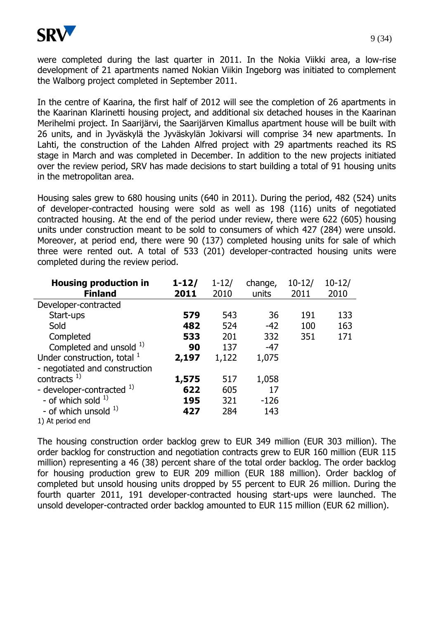

were completed during the last quarter in 2011. In the Nokia Viikki area, a low-rise development of 21 apartments named Nokian Viikin Ingeborg was initiated to complement the Walborg project completed in September 2011.

In the centre of Kaarina, the first half of 2012 will see the completion of 26 apartments in the Kaarinan Klarinetti housing project, and additional six detached houses in the Kaarinan Merihelmi project. In Saarijärvi, the Saarijärven Kimallus apartment house will be built with 26 units, and in Jyväskylä the Jyväskylän Jokivarsi will comprise 34 new apartments. In Lahti, the construction of the Lahden Alfred project with 29 apartments reached its RS stage in March and was completed in December. In addition to the new projects initiated over the review period, SRV has made decisions to start building a total of 91 housing units in the metropolitan area.

Housing sales grew to 680 housing units (640 in 2011). During the period, 482 (524) units of developer-contracted housing were sold as well as 198 (116) units of negotiated contracted housing. At the end of the period under review, there were 622 (605) housing units under construction meant to be sold to consumers of which 427 (284) were unsold. Moreover, at period end, there were 90 (137) completed housing units for sale of which three were rented out. A total of 533 (201) developer-contracted housing units were completed during the review period.

| <b>Housing production in</b>  | $1 - 12/$ | $1 - 12/$ | change, | $10 - 12/$ | $10 - 12/$ |
|-------------------------------|-----------|-----------|---------|------------|------------|
| <b>Finland</b>                | 2011      | 2010      | units   | 2011       | 2010       |
| Developer-contracted          |           |           |         |            |            |
| Start-ups                     | 579       | 543       | 36      | 191        | 133        |
| Sold                          | 482       | 524       | $-42$   | 100        | 163        |
| Completed                     | 533       | 201       | 332     | 351        | 171        |
| Completed and unsold 1)       | 90        | 137       | $-47$   |            |            |
| Under construction, total $1$ | 2,197     | 1,122     | 1,075   |            |            |
| - negotiated and construction |           |           |         |            |            |
| contracts $^{1)}$             | 1,575     | 517       | 1,058   |            |            |
| - developer-contracted 1)     | 622       | 605       | 17      |            |            |
| - of which sold $1$ )         | 195       | 321       | $-126$  |            |            |
| - of which unsold $1$ )       | 427       | 284       | 143     |            |            |
| 1) At period end              |           |           |         |            |            |

The housing construction order backlog grew to EUR 349 million (EUR 303 million). The order backlog for construction and negotiation contracts grew to EUR 160 million (EUR 115 million) representing a 46 (38) percent share of the total order backlog. The order backlog for housing production grew to EUR 209 million (EUR 188 million). Order backlog of completed but unsold housing units dropped by 55 percent to EUR 26 million. During the fourth quarter 2011, 191 developer-contracted housing start-ups were launched. The unsold developer-contracted order backlog amounted to EUR 115 million (EUR 62 million).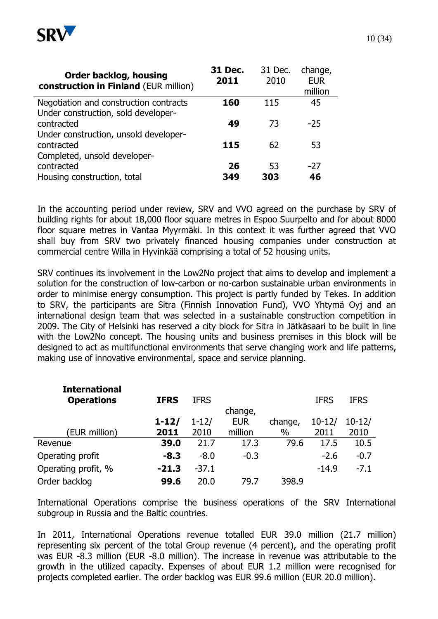

| <b>Order backlog, housing</b><br>construction in Finland (EUR million)        | 31 Dec.<br>2011 | 31 Dec.<br>2010 | change,<br><b>EUR</b><br>million |
|-------------------------------------------------------------------------------|-----------------|-----------------|----------------------------------|
| Negotiation and construction contracts<br>Under construction, sold developer- | 160             | 115             | 45                               |
| contracted<br>Under construction, unsold developer-                           | 49              | 73              | $-25$                            |
| contracted<br>Completed, unsold developer-                                    | 115             | 62              | 53                               |
| contracted                                                                    | 26              | 53              | $-27$                            |
| Housing construction, total                                                   | 349             | 303             | 46                               |

In the accounting period under review, SRV and VVO agreed on the purchase by SRV of building rights for about 18,000 floor square metres in Espoo Suurpelto and for about 8000 floor square metres in Vantaa Myyrmäki. In this context it was further agreed that VVO shall buy from SRV two privately financed housing companies under construction at commercial centre Willa in Hyvinkää comprising a total of 52 housing units.

SRV continues its involvement in the Low2No project that aims to develop and implement a solution for the construction of low-carbon or no-carbon sustainable urban environments in order to minimise energy consumption. This project is partly funded by Tekes. In addition to SRV, the participants are Sitra (Finnish Innovation Fund), VVO Yhtymä Oyj and an international design team that was selected in a sustainable construction competition in 2009. The City of Helsinki has reserved a city block for Sitra in Jätkäsaari to be built in line with the Low2No concept. The housing units and business premises in this block will be designed to act as multifunctional environments that serve changing work and life patterns, making use of innovative environmental, space and service planning.

| <b>International</b> |             |             |            |         |             |             |
|----------------------|-------------|-------------|------------|---------|-------------|-------------|
| <b>Operations</b>    | <b>IFRS</b> | <b>IFRS</b> |            |         | <b>IFRS</b> | <b>IFRS</b> |
|                      |             |             | change,    |         |             |             |
|                      | $1 - 12/$   | $1 - 12/$   | <b>EUR</b> | change, | $10 - 12/$  | $10 - 12/$  |
| (EUR million)        | 2011        | 2010        | million    | $\%$    | 2011        | 2010        |
| Revenue              | 39.0        | 21.7        | 17.3       | 79.6    | 17.5        | 10.5        |
| Operating profit     | $-8.3$      | $-8.0$      | $-0.3$     |         | $-2.6$      | $-0.7$      |
| Operating profit, %  | $-21.3$     | $-37.1$     |            |         | $-14.9$     | $-7.1$      |
| Order backlog        | 99.6        | 20.0        | 79.7       | 398.9   |             |             |

International Operations comprise the business operations of the SRV International subgroup in Russia and the Baltic countries.

In 2011, International Operations revenue totalled EUR 39.0 million (21.7 million) representing six percent of the total Group revenue (4 percent), and the operating profit was EUR -8.3 million (EUR -8.0 million). The increase in revenue was attributable to the growth in the utilized capacity. Expenses of about EUR 1.2 million were recognised for projects completed earlier. The order backlog was EUR 99.6 million (EUR 20.0 million).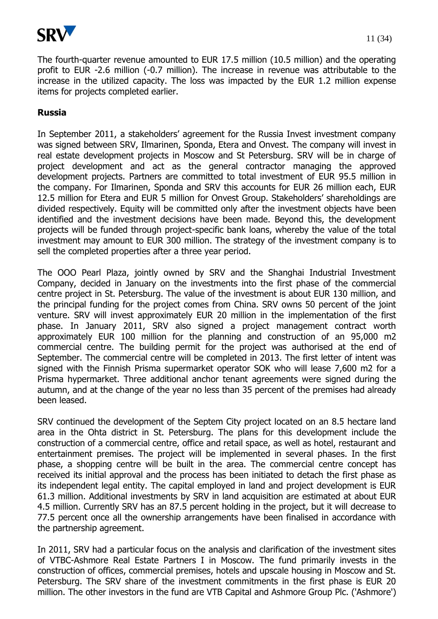

The fourth-quarter revenue amounted to EUR 17.5 million (10.5 million) and the operating profit to EUR -2.6 million (-0.7 million). The increase in revenue was attributable to the increase in the utilized capacity. The loss was impacted by the EUR 1.2 million expense items for projects completed earlier.

## **Russia**

In September 2011, a stakeholders' agreement for the Russia Invest investment company was signed between SRV, Ilmarinen, Sponda, Etera and Onvest. The company will invest in real estate development projects in Moscow and St Petersburg. SRV will be in charge of project development and act as the general contractor managing the approved development projects. Partners are committed to total investment of EUR 95.5 million in the company. For Ilmarinen, Sponda and SRV this accounts for EUR 26 million each, EUR 12.5 million for Etera and EUR 5 million for Onvest Group. Stakeholders' shareholdings are divided respectively. Equity will be committed only after the investment objects have been identified and the investment decisions have been made. Beyond this, the development projects will be funded through project-specific bank loans, whereby the value of the total investment may amount to EUR 300 million. The strategy of the investment company is to sell the completed properties after a three year period.

The OOO Pearl Plaza, jointly owned by SRV and the Shanghai Industrial Investment Company, decided in January on the investments into the first phase of the commercial centre project in St. Petersburg. The value of the investment is about EUR 130 million, and the principal funding for the project comes from China. SRV owns 50 percent of the joint venture. SRV will invest approximately EUR 20 million in the implementation of the first phase. In January 2011, SRV also signed a project management contract worth approximately EUR 100 million for the planning and construction of an 95,000 m2 commercial centre. The building permit for the project was authorised at the end of September. The commercial centre will be completed in 2013. The first letter of intent was signed with the Finnish Prisma supermarket operator SOK who will lease 7,600 m2 for a Prisma hypermarket. Three additional anchor tenant agreements were signed during the autumn, and at the change of the year no less than 35 percent of the premises had already been leased.

SRV continued the development of the Septem City project located on an 8.5 hectare land area in the Ohta district in St. Petersburg. The plans for this development include the construction of a commercial centre, office and retail space, as well as hotel, restaurant and entertainment premises. The project will be implemented in several phases. In the first phase, a shopping centre will be built in the area. The commercial centre concept has received its initial approval and the process has been initiated to detach the first phase as its independent legal entity. The capital employed in land and project development is EUR 61.3 million. Additional investments by SRV in land acquisition are estimated at about EUR 4.5 million. Currently SRV has an 87.5 percent holding in the project, but it will decrease to 77.5 percent once all the ownership arrangements have been finalised in accordance with the partnership agreement.

In 2011, SRV had a particular focus on the analysis and clarification of the investment sites of VTBC-Ashmore Real Estate Partners I in Moscow. The fund primarily invests in the construction of offices, commercial premises, hotels and upscale housing in Moscow and St. Petersburg. The SRV share of the investment commitments in the first phase is EUR 20 million. The other investors in the fund are VTB Capital and Ashmore Group Plc. ('Ashmore')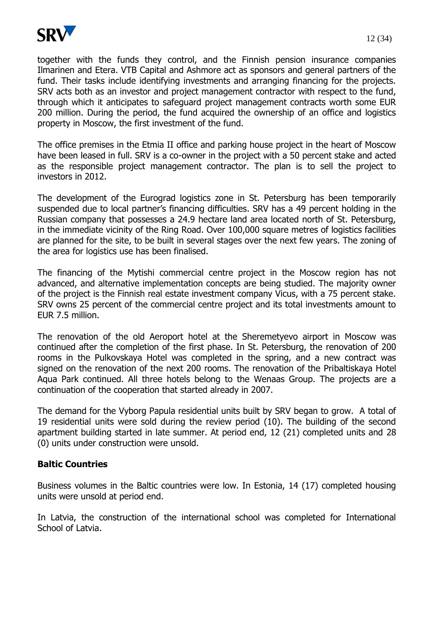

together with the funds they control, and the Finnish pension insurance companies Ilmarinen and Etera. VTB Capital and Ashmore act as sponsors and general partners of the fund. Their tasks include identifying investments and arranging financing for the projects. SRV acts both as an investor and project management contractor with respect to the fund, through which it anticipates to safeguard project management contracts worth some EUR 200 million. During the period, the fund acquired the ownership of an office and logistics property in Moscow, the first investment of the fund.

The office premises in the Etmia II office and parking house project in the heart of Moscow have been leased in full. SRV is a co-owner in the project with a 50 percent stake and acted as the responsible project management contractor. The plan is to sell the project to investors in 2012.

The development of the Eurograd logistics zone in St. Petersburg has been temporarily suspended due to local partner's financing difficulties. SRV has a 49 percent holding in the Russian company that possesses a 24.9 hectare land area located north of St. Petersburg, in the immediate vicinity of the Ring Road. Over 100,000 square metres of logistics facilities are planned for the site, to be built in several stages over the next few years. The zoning of the area for logistics use has been finalised.

The financing of the Mytishi commercial centre project in the Moscow region has not advanced, and alternative implementation concepts are being studied. The majority owner of the project is the Finnish real estate investment company Vicus, with a 75 percent stake. SRV owns 25 percent of the commercial centre project and its total investments amount to EUR 7.5 million.

The renovation of the old Aeroport hotel at the Sheremetyevo airport in Moscow was continued after the completion of the first phase. In St. Petersburg, the renovation of 200 rooms in the Pulkovskaya Hotel was completed in the spring, and a new contract was signed on the renovation of the next 200 rooms. The renovation of the Pribaltiskaya Hotel Aqua Park continued. All three hotels belong to the Wenaas Group. The projects are a continuation of the cooperation that started already in 2007.

The demand for the Vyborg Papula residential units built by SRV began to grow. A total of 19 residential units were sold during the review period (10). The building of the second apartment building started in late summer. At period end, 12 (21) completed units and 28 (0) units under construction were unsold.

## **Baltic Countries**

Business volumes in the Baltic countries were low. In Estonia, 14 (17) completed housing units were unsold at period end.

In Latvia, the construction of the international school was completed for International School of Latvia.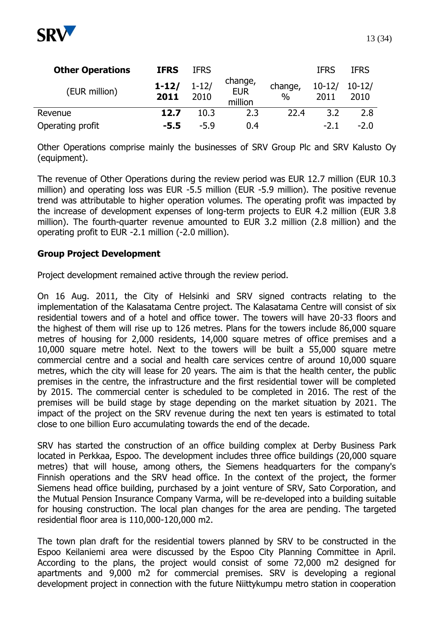

| <b>Other Operations</b> | <b>IFRS</b>       | <b>IFRS</b>       |                                  |                 | <b>IFRS</b>            | <b>IFRS</b> |
|-------------------------|-------------------|-------------------|----------------------------------|-----------------|------------------------|-------------|
| (EUR million)           | $1 - 12/$<br>2011 | $1 - 12/$<br>2010 | change,<br><b>EUR</b><br>million | change,<br>$\%$ | $10-12/10-12/$<br>2011 | 2010        |
| Revenue                 | 12.7              | 10.3              | 2.3                              | 22.4            | 3.2                    | 2.8         |
| Operating profit        | $-5.5$            | $-5.9$            | 0.4                              |                 | $-2.1$                 | $-2.0$      |

Other Operations comprise mainly the businesses of SRV Group Plc and SRV Kalusto Oy (equipment).

The revenue of Other Operations during the review period was EUR 12.7 million (EUR 10.3 million) and operating loss was EUR -5.5 million (EUR -5.9 million). The positive revenue trend was attributable to higher operation volumes. The operating profit was impacted by the increase of development expenses of long-term projects to EUR 4.2 million (EUR 3.8 million). The fourth-quarter revenue amounted to EUR 3.2 million (2.8 million) and the operating profit to EUR -2.1 million (-2.0 million).

## **Group Project Development**

Project development remained active through the review period.

On 16 Aug. 2011, the City of Helsinki and SRV signed contracts relating to the implementation of the Kalasatama Centre project. The Kalasatama Centre will consist of six residential towers and of a hotel and office tower. The towers will have 20-33 floors and the highest of them will rise up to 126 metres. Plans for the towers include 86,000 square metres of housing for 2,000 residents, 14,000 square metres of office premises and a 10,000 square metre hotel. Next to the towers will be built a 55,000 square metre commercial centre and a social and health care services centre of around 10,000 square metres, which the city will lease for 20 years. The aim is that the health center, the public premises in the centre, the infrastructure and the first residential tower will be completed by 2015. The commercial center is scheduled to be completed in 2016. The rest of the premises will be build stage by stage depending on the market situation by 2021. The impact of the project on the SRV revenue during the next ten years is estimated to total close to one billion Euro accumulating towards the end of the decade.

SRV has started the construction of an office building complex at Derby Business Park located in Perkkaa, Espoo. The development includes three office buildings (20,000 square metres) that will house, among others, the Siemens headquarters for the company's Finnish operations and the SRV head office. In the context of the project, the former Siemens head office building, purchased by a joint venture of SRV, Sato Corporation, and the Mutual Pension Insurance Company Varma, will be re-developed into a building suitable for housing construction. The local plan changes for the area are pending. The targeted residential floor area is 110,000-120,000 m2.

The town plan draft for the residential towers planned by SRV to be constructed in the Espoo Keilaniemi area were discussed by the Espoo City Planning Committee in April. According to the plans, the project would consist of some 72,000 m2 designed for apartments and 9,000 m2 for commercial premises. SRV is developing a regional development project in connection with the future Niittykumpu metro station in cooperation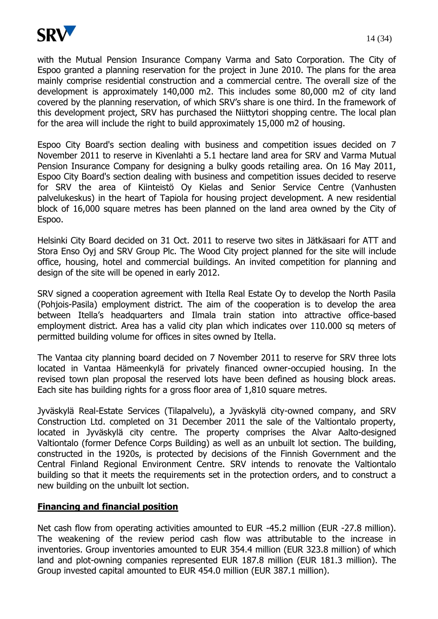

with the Mutual Pension Insurance Company Varma and Sato Corporation. The City of Espoo granted a planning reservation for the project in June 2010. The plans for the area mainly comprise residential construction and a commercial centre. The overall size of the development is approximately 140,000 m2. This includes some 80,000 m2 of city land covered by the planning reservation, of which SRV's share is one third. In the framework of this development project, SRV has purchased the Niittytori shopping centre. The local plan for the area will include the right to build approximately 15,000 m2 of housing.

Espoo City Board's section dealing with business and competition issues decided on 7 November 2011 to reserve in Kivenlahti a 5.1 hectare land area for SRV and Varma Mutual Pension Insurance Company for designing a bulky goods retailing area. On 16 May 2011, Espoo City Board's section dealing with business and competition issues decided to reserve for SRV the area of Kiinteistö Oy Kielas and Senior Service Centre (Vanhusten palvelukeskus) in the heart of Tapiola for housing project development. A new residential block of 16,000 square metres has been planned on the land area owned by the City of Espoo.

Helsinki City Board decided on 31 Oct. 2011 to reserve two sites in Jätkäsaari for ATT and Stora Enso Oyj and SRV Group Plc. The Wood City project planned for the site will include office, housing, hotel and commercial buildings. An invited competition for planning and design of the site will be opened in early 2012.

SRV signed a cooperation agreement with Itella Real Estate Oy to develop the North Pasila (Pohjois-Pasila) employment district. The aim of the cooperation is to develop the area between Itella's headquarters and Ilmala train station into attractive office-based employment district. Area has a valid city plan which indicates over 110.000 sq meters of permitted building volume for offices in sites owned by Itella.

The Vantaa city planning board decided on 7 November 2011 to reserve for SRV three lots located in Vantaa Hämeenkylä for privately financed owner-occupied housing. In the revised town plan proposal the reserved lots have been defined as housing block areas. Each site has building rights for a gross floor area of 1,810 square metres.

Jyväskylä Real-Estate Services (Tilapalvelu), a Jyväskylä city-owned company, and SRV Construction Ltd. completed on 31 December 2011 the sale of the Valtiontalo property, located in Jyväskylä city centre. The property comprises the Alvar Aalto-designed Valtiontalo (former Defence Corps Building) as well as an unbuilt lot section. The building, constructed in the 1920s, is protected by decisions of the Finnish Government and the Central Finland Regional Environment Centre. SRV intends to renovate the Valtiontalo building so that it meets the requirements set in the protection orders, and to construct a new building on the unbuilt lot section.

## **Financing and financial position**

Net cash flow from operating activities amounted to EUR -45.2 million (EUR -27.8 million). The weakening of the review period cash flow was attributable to the increase in inventories. Group inventories amounted to EUR 354.4 million (EUR 323.8 million) of which land and plot-owning companies represented EUR 187.8 million (EUR 181.3 million). The Group invested capital amounted to EUR 454.0 million (EUR 387.1 million).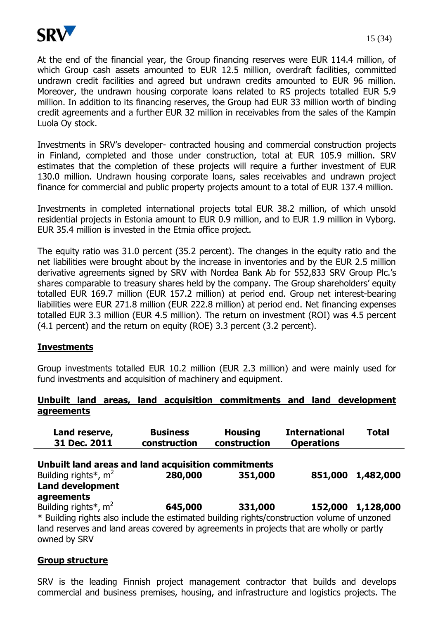

At the end of the financial year, the Group financing reserves were EUR 114.4 million, of which Group cash assets amounted to EUR 12.5 million, overdraft facilities, committed undrawn credit facilities and agreed but undrawn credits amounted to EUR 96 million. Moreover, the undrawn housing corporate loans related to RS projects totalled EUR 5.9 million. In addition to its financing reserves, the Group had EUR 33 million worth of binding credit agreements and a further EUR 32 million in receivables from the sales of the Kampin Luola Oy stock.

Investments in SRV's developer- contracted housing and commercial construction projects in Finland, completed and those under construction, total at EUR 105.9 million. SRV estimates that the completion of these projects will require a further investment of EUR 130.0 million. Undrawn housing corporate loans, sales receivables and undrawn project finance for commercial and public property projects amount to a total of EUR 137.4 million.

Investments in completed international projects total EUR 38.2 million, of which unsold residential projects in Estonia amount to EUR 0.9 million, and to EUR 1.9 million in Vyborg. EUR 35.4 million is invested in the Etmia office project.

The equity ratio was 31.0 percent (35.2 percent). The changes in the equity ratio and the net liabilities were brought about by the increase in inventories and by the EUR 2.5 million derivative agreements signed by SRV with Nordea Bank Ab for 552,833 SRV Group Plc.'s shares comparable to treasury shares held by the company. The Group shareholders' equity totalled EUR 169.7 million (EUR 157.2 million) at period end. Group net interest-bearing liabilities were EUR 271.8 million (EUR 222.8 million) at period end. Net financing expenses totalled EUR 3.3 million (EUR 4.5 million). The return on investment (ROI) was 4.5 percent (4.1 percent) and the return on equity (ROE) 3.3 percent (3.2 percent).

## **Investments**

Group investments totalled EUR 10.2 million (EUR 2.3 million) and were mainly used for fund investments and acquisition of machinery and equipment.

#### **Unbuilt land areas, land acquisition commitments and land development agreements**

| Land reserve,<br>31 Dec. 2011                                                                                                                                                                                                                  | <b>Business</b><br>construction | <b>Housing</b><br>construction | <b>International</b><br><b>Operations</b> | <b>Total</b>      |
|------------------------------------------------------------------------------------------------------------------------------------------------------------------------------------------------------------------------------------------------|---------------------------------|--------------------------------|-------------------------------------------|-------------------|
| Unbuilt land areas and land acquisition commitments<br>Building rights <sup>*</sup> , $m^2$                                                                                                                                                    | 280,000                         | 351,000                        |                                           | 851,000 1,482,000 |
| <b>Land development</b><br>agreements                                                                                                                                                                                                          |                                 |                                |                                           |                   |
| Building rights <sup>*</sup> , $m2$<br>* Building rights also include the estimated building rights/construction volume of unzoned<br>land reserves and land areas covered by agreements in projects that are wholly or partly<br>owned by SRV | 645,000                         | 331,000                        |                                           | 152,000 1,128,000 |

## **Group structure**

SRV is the leading Finnish project management contractor that builds and develops commercial and business premises, housing, and infrastructure and logistics projects. The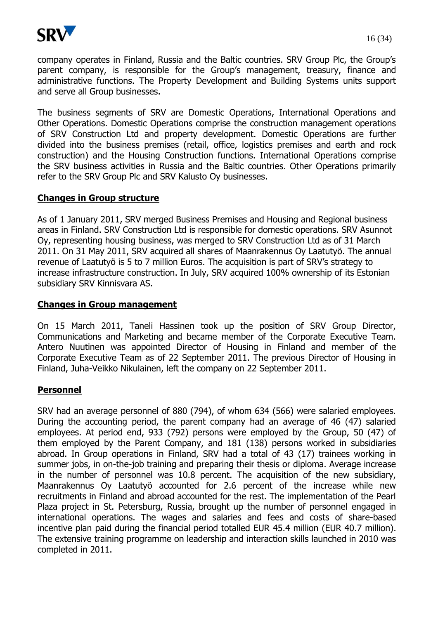

company operates in Finland, Russia and the Baltic countries. SRV Group Plc, the Group's parent company, is responsible for the Group's management, treasury, finance and administrative functions. The Property Development and Building Systems units support and serve all Group businesses.

The business segments of SRV are Domestic Operations, International Operations and Other Operations. Domestic Operations comprise the construction management operations of SRV Construction Ltd and property development. Domestic Operations are further divided into the business premises (retail, office, logistics premises and earth and rock construction) and the Housing Construction functions. International Operations comprise the SRV business activities in Russia and the Baltic countries. Other Operations primarily refer to the SRV Group Plc and SRV Kalusto Oy businesses.

#### **Changes in Group structure**

As of 1 January 2011, SRV merged Business Premises and Housing and Regional business areas in Finland. SRV Construction Ltd is responsible for domestic operations. SRV Asunnot Oy, representing housing business, was merged to SRV Construction Ltd as of 31 March 2011. On 31 May 2011, SRV acquired all shares of Maanrakennus Oy Laatutyö. The annual revenue of Laatutyö is 5 to 7 million Euros. The acquisition is part of SRV's strategy to increase infrastructure construction. In July, SRV acquired 100% ownership of its Estonian subsidiary SRV Kinnisvara AS.

#### **Changes in Group management**

On 15 March 2011, Taneli Hassinen took up the position of SRV Group Director, Communications and Marketing and became member of the Corporate Executive Team. Antero Nuutinen was appointed Director of Housing in Finland and member of the Corporate Executive Team as of 22 September 2011. The previous Director of Housing in Finland, Juha-Veikko Nikulainen, left the company on 22 September 2011.

#### **Personnel**

SRV had an average personnel of 880 (794), of whom 634 (566) were salaried employees. During the accounting period, the parent company had an average of 46 (47) salaried employees. At period end, 933 (792) persons were employed by the Group, 50 (47) of them employed by the Parent Company, and 181 (138) persons worked in subsidiaries abroad. In Group operations in Finland, SRV had a total of 43 (17) trainees working in summer jobs, in on-the-job training and preparing their thesis or diploma. Average increase in the number of personnel was 10.8 percent. The acquisition of the new subsidiary, Maanrakennus Oy Laatutyö accounted for 2.6 percent of the increase while new recruitments in Finland and abroad accounted for the rest. The implementation of the Pearl Plaza project in St. Petersburg, Russia, brought up the number of personnel engaged in international operations. The wages and salaries and fees and costs of share-based incentive plan paid during the financial period totalled EUR 45.4 million (EUR 40.7 million). The extensive training programme on leadership and interaction skills launched in 2010 was completed in 2011.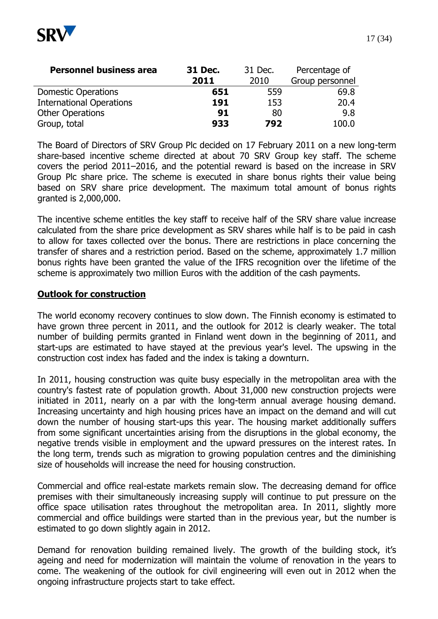

| <b>Personnel business area</b>  | 31 Dec.<br>31 Dec. |      | Percentage of   |  |
|---------------------------------|--------------------|------|-----------------|--|
|                                 | 2011               | 2010 | Group personnel |  |
| <b>Domestic Operations</b>      | 651                | 559  | 69.8            |  |
| <b>International Operations</b> | 191                | 153  | 20.4            |  |
| <b>Other Operations</b>         | 91                 | 80   | 9.8             |  |
| Group, total                    | 933                | 792  | 100.0           |  |

The Board of Directors of SRV Group Plc decided on 17 February 2011 on a new long-term share-based incentive scheme directed at about 70 SRV Group key staff. The scheme covers the period 2011–2016, and the potential reward is based on the increase in SRV Group Plc share price. The scheme is executed in share bonus rights their value being based on SRV share price development. The maximum total amount of bonus rights granted is 2,000,000.

The incentive scheme entitles the key staff to receive half of the SRV share value increase calculated from the share price development as SRV shares while half is to be paid in cash to allow for taxes collected over the bonus. There are restrictions in place concerning the transfer of shares and a restriction period. Based on the scheme, approximately 1.7 million bonus rights have been granted the value of the IFRS recognition over the lifetime of the scheme is approximately two million Euros with the addition of the cash payments.

#### **Outlook for construction**

The world economy recovery continues to slow down. The Finnish economy is estimated to have grown three percent in 2011, and the outlook for 2012 is clearly weaker. The total number of building permits granted in Finland went down in the beginning of 2011, and start-ups are estimated to have stayed at the previous year's level. The upswing in the construction cost index has faded and the index is taking a downturn.

In 2011, housing construction was quite busy especially in the metropolitan area with the country's fastest rate of population growth. About 31,000 new construction projects were initiated in 2011, nearly on a par with the long-term annual average housing demand. Increasing uncertainty and high housing prices have an impact on the demand and will cut down the number of housing start-ups this year. The housing market additionally suffers from some significant uncertainties arising from the disruptions in the global economy, the negative trends visible in employment and the upward pressures on the interest rates. In the long term, trends such as migration to growing population centres and the diminishing size of households will increase the need for housing construction.

Commercial and office real-estate markets remain slow. The decreasing demand for office premises with their simultaneously increasing supply will continue to put pressure on the office space utilisation rates throughout the metropolitan area. In 2011, slightly more commercial and office buildings were started than in the previous year, but the number is estimated to go down slightly again in 2012.

Demand for renovation building remained lively. The growth of the building stock, it's ageing and need for modernization will maintain the volume of renovation in the years to come. The weakening of the outlook for civil engineering will even out in 2012 when the ongoing infrastructure projects start to take effect.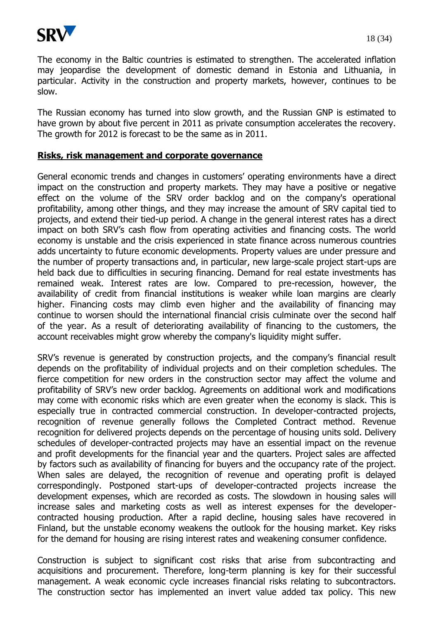

The economy in the Baltic countries is estimated to strengthen. The accelerated inflation may jeopardise the development of domestic demand in Estonia and Lithuania, in particular. Activity in the construction and property markets, however, continues to be slow.

The Russian economy has turned into slow growth, and the Russian GNP is estimated to have grown by about five percent in 2011 as private consumption accelerates the recovery. The growth for 2012 is forecast to be the same as in 2011.

#### **Risks, risk management and corporate governance**

General economic trends and changes in customers' operating environments have a direct impact on the construction and property markets. They may have a positive or negative effect on the volume of the SRV order backlog and on the company's operational profitability, among other things, and they may increase the amount of SRV capital tied to projects, and extend their tied-up period. A change in the general interest rates has a direct impact on both SRV's cash flow from operating activities and financing costs. The world economy is unstable and the crisis experienced in state finance across numerous countries adds uncertainty to future economic developments. Property values are under pressure and the number of property transactions and, in particular, new large-scale project start-ups are held back due to difficulties in securing financing. Demand for real estate investments has remained weak. Interest rates are low. Compared to pre-recession, however, the availability of credit from financial institutions is weaker while loan margins are clearly higher. Financing costs may climb even higher and the availability of financing may continue to worsen should the international financial crisis culminate over the second half of the year. As a result of deteriorating availability of financing to the customers, the account receivables might grow whereby the company's liquidity might suffer.

SRV's revenue is generated by construction projects, and the company's financial result depends on the profitability of individual projects and on their completion schedules. The fierce competition for new orders in the construction sector may affect the volume and profitability of SRV's new order backlog. Agreements on additional work and modifications may come with economic risks which are even greater when the economy is slack. This is especially true in contracted commercial construction. In developer-contracted projects, recognition of revenue generally follows the Completed Contract method. Revenue recognition for delivered projects depends on the percentage of housing units sold. Delivery schedules of developer-contracted projects may have an essential impact on the revenue and profit developments for the financial year and the quarters. Project sales are affected by factors such as availability of financing for buyers and the occupancy rate of the project. When sales are delayed, the recognition of revenue and operating profit is delayed correspondingly. Postponed start-ups of developer-contracted projects increase the development expenses, which are recorded as costs. The slowdown in housing sales will increase sales and marketing costs as well as interest expenses for the developercontracted housing production. After a rapid decline, housing sales have recovered in Finland, but the unstable economy weakens the outlook for the housing market. Key risks for the demand for housing are rising interest rates and weakening consumer confidence.

Construction is subject to significant cost risks that arise from subcontracting and acquisitions and procurement. Therefore, long-term planning is key for their successful management. A weak economic cycle increases financial risks relating to subcontractors. The construction sector has implemented an invert value added tax policy. This new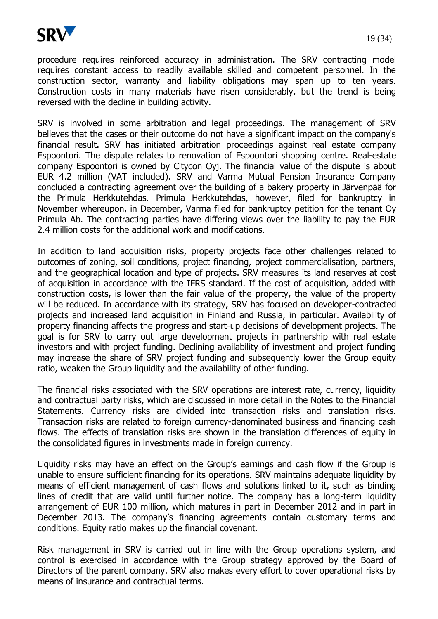

procedure requires reinforced accuracy in administration. The SRV contracting model requires constant access to readily available skilled and competent personnel. In the construction sector, warranty and liability obligations may span up to ten years. Construction costs in many materials have risen considerably, but the trend is being reversed with the decline in building activity.

SRV is involved in some arbitration and legal proceedings. The management of SRV believes that the cases or their outcome do not have a significant impact on the company's financial result. SRV has initiated arbitration proceedings against real estate company Espoontori. The dispute relates to renovation of Espoontori shopping centre. Real-estate company Espoontori is owned by Citycon Oyj. The financial value of the dispute is about EUR 4.2 million (VAT included). SRV and Varma Mutual Pension Insurance Company concluded a contracting agreement over the building of a bakery property in Järvenpää for the Primula Herkkutehdas. Primula Herkkutehdas, however, filed for bankruptcy in November whereupon, in December, Varma filed for bankruptcy petition for the tenant Oy Primula Ab. The contracting parties have differing views over the liability to pay the EUR 2.4 million costs for the additional work and modifications.

In addition to land acquisition risks, property projects face other challenges related to outcomes of zoning, soil conditions, project financing, project commercialisation, partners, and the geographical location and type of projects. SRV measures its land reserves at cost of acquisition in accordance with the IFRS standard. If the cost of acquisition, added with construction costs, is lower than the fair value of the property, the value of the property will be reduced. In accordance with its strategy, SRV has focused on developer-contracted projects and increased land acquisition in Finland and Russia, in particular. Availability of property financing affects the progress and start-up decisions of development projects. The goal is for SRV to carry out large development projects in partnership with real estate investors and with project funding. Declining availability of investment and project funding may increase the share of SRV project funding and subsequently lower the Group equity ratio, weaken the Group liquidity and the availability of other funding.

The financial risks associated with the SRV operations are interest rate, currency, liquidity and contractual party risks, which are discussed in more detail in the Notes to the Financial Statements. Currency risks are divided into transaction risks and translation risks. Transaction risks are related to foreign currency-denominated business and financing cash flows. The effects of translation risks are shown in the translation differences of equity in the consolidated figures in investments made in foreign currency.

Liquidity risks may have an effect on the Group's earnings and cash flow if the Group is unable to ensure sufficient financing for its operations. SRV maintains adequate liquidity by means of efficient management of cash flows and solutions linked to it, such as binding lines of credit that are valid until further notice. The company has a long-term liquidity arrangement of EUR 100 million, which matures in part in December 2012 and in part in December 2013. The company's financing agreements contain customary terms and conditions. Equity ratio makes up the financial covenant.

Risk management in SRV is carried out in line with the Group operations system, and control is exercised in accordance with the Group strategy approved by the Board of Directors of the parent company. SRV also makes every effort to cover operational risks by means of insurance and contractual terms.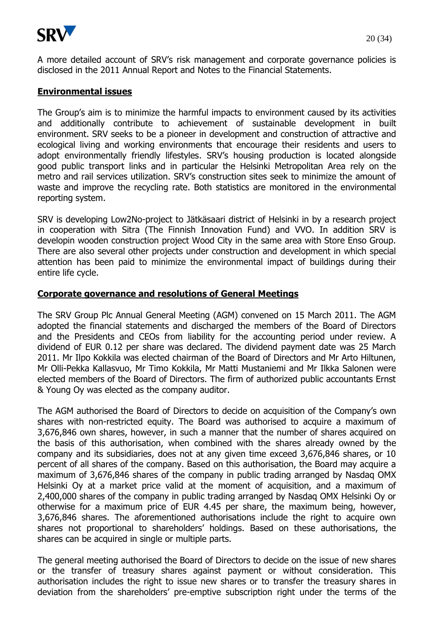

A more detailed account of SRV's risk management and corporate governance policies is disclosed in the 2011 Annual Report and Notes to the Financial Statements.

#### **Environmental issues**

The Group's aim is to minimize the harmful impacts to environment caused by its activities and additionally contribute to achievement of sustainable development in built environment. SRV seeks to be a pioneer in development and construction of attractive and ecological living and working environments that encourage their residents and users to adopt environmentally friendly lifestyles. SRV's housing production is located alongside good public transport links and in particular the Helsinki Metropolitan Area rely on the metro and rail services utilization. SRV's construction sites seek to minimize the amount of waste and improve the recycling rate. Both statistics are monitored in the environmental reporting system.

SRV is developing Low2No-project to Jätkäsaari district of Helsinki in by a research project in cooperation with Sitra (The Finnish Innovation Fund) and VVO. In addition SRV is developin wooden construction project Wood City in the same area with Store Enso Group. There are also several other projects under construction and development in which special attention has been paid to minimize the environmental impact of buildings during their entire life cycle.

#### **Corporate governance and resolutions of General Meetings**

The SRV Group Plc Annual General Meeting (AGM) convened on 15 March 2011. The AGM adopted the financial statements and discharged the members of the Board of Directors and the Presidents and CEOs from liability for the accounting period under review. A dividend of EUR 0.12 per share was declared. The dividend payment date was 25 March 2011. Mr Ilpo Kokkila was elected chairman of the Board of Directors and Mr Arto Hiltunen, Mr Olli-Pekka Kallasvuo, Mr Timo Kokkila, Mr Matti Mustaniemi and Mr Ilkka Salonen were elected members of the Board of Directors. The firm of authorized public accountants Ernst & Young Oy was elected as the company auditor.

The AGM authorised the Board of Directors to decide on acquisition of the Company's own shares with non-restricted equity. The Board was authorised to acquire a maximum of 3,676,846 own shares, however, in such a manner that the number of shares acquired on the basis of this authorisation, when combined with the shares already owned by the company and its subsidiaries, does not at any given time exceed 3,676,846 shares, or 10 percent of all shares of the company. Based on this authorisation, the Board may acquire a maximum of 3,676,846 shares of the company in public trading arranged by Nasdaq OMX Helsinki Oy at a market price valid at the moment of acquisition, and a maximum of 2,400,000 shares of the company in public trading arranged by Nasdaq OMX Helsinki Oy or otherwise for a maximum price of EUR 4.45 per share, the maximum being, however, 3,676,846 shares. The aforementioned authorisations include the right to acquire own shares not proportional to shareholders' holdings. Based on these authorisations, the shares can be acquired in single or multiple parts.

The general meeting authorised the Board of Directors to decide on the issue of new shares or the transfer of treasury shares against payment or without consideration. This authorisation includes the right to issue new shares or to transfer the treasury shares in deviation from the shareholders' pre-emptive subscription right under the terms of the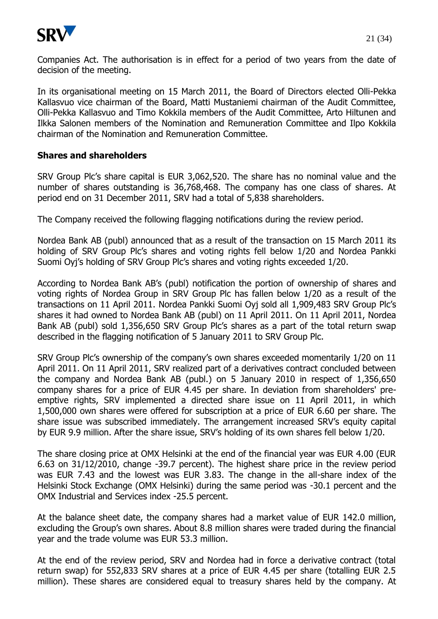

In its organisational meeting on 15 March 2011, the Board of Directors elected Olli-Pekka Kallasvuo vice chairman of the Board, Matti Mustaniemi chairman of the Audit Committee, Olli-Pekka Kallasvuo and Timo Kokkila members of the Audit Committee, Arto Hiltunen and Ilkka Salonen members of the Nomination and Remuneration Committee and Ilpo Kokkila chairman of the Nomination and Remuneration Committee.

#### **Shares and shareholders**

SRV Group Plc's share capital is EUR 3,062,520. The share has no nominal value and the number of shares outstanding is 36,768,468. The company has one class of shares. At period end on 31 December 2011, SRV had a total of 5,838 shareholders.

The Company received the following flagging notifications during the review period.

Nordea Bank AB (publ) announced that as a result of the transaction on 15 March 2011 its holding of SRV Group Plc's shares and voting rights fell below 1/20 and Nordea Pankki Suomi Oyj's holding of SRV Group Plc's shares and voting rights exceeded 1/20.

According to Nordea Bank AB's (publ) notification the portion of ownership of shares and voting rights of Nordea Group in SRV Group Plc has fallen below 1/20 as a result of the transactions on 11 April 2011. Nordea Pankki Suomi Oyj sold all 1,909,483 SRV Group Plc's shares it had owned to Nordea Bank AB (publ) on 11 April 2011. On 11 April 2011, Nordea Bank AB (publ) sold 1,356,650 SRV Group Plc's shares as a part of the total return swap described in the flagging notification of 5 January 2011 to SRV Group Plc.

SRV Group Plc's ownership of the company's own shares exceeded momentarily 1/20 on 11 April 2011. On 11 April 2011, SRV realized part of a derivatives contract concluded between the company and Nordea Bank AB (publ.) on 5 January 2010 in respect of 1,356,650 company shares for a price of EUR 4.45 per share. In deviation from shareholders' preemptive rights, SRV implemented a directed share issue on 11 April 2011, in which 1,500,000 own shares were offered for subscription at a price of EUR 6.60 per share. The share issue was subscribed immediately. The arrangement increased SRV's equity capital by EUR 9.9 million. After the share issue, SRV's holding of its own shares fell below 1/20.

The share closing price at OMX Helsinki at the end of the financial year was EUR 4.00 (EUR 6.63 on 31/12/2010, change -39.7 percent). The highest share price in the review period was EUR 7.43 and the lowest was EUR 3.83. The change in the all-share index of the Helsinki Stock Exchange (OMX Helsinki) during the same period was -30.1 percent and the OMX Industrial and Services index -25.5 percent.

At the balance sheet date, the company shares had a market value of EUR 142.0 million, excluding the Group's own shares. About 8.8 million shares were traded during the financial year and the trade volume was EUR 53.3 million.

At the end of the review period, SRV and Nordea had in force a derivative contract (total return swap) for 552,833 SRV shares at a price of EUR 4.45 per share (totalling EUR 2.5 million). These shares are considered equal to treasury shares held by the company. At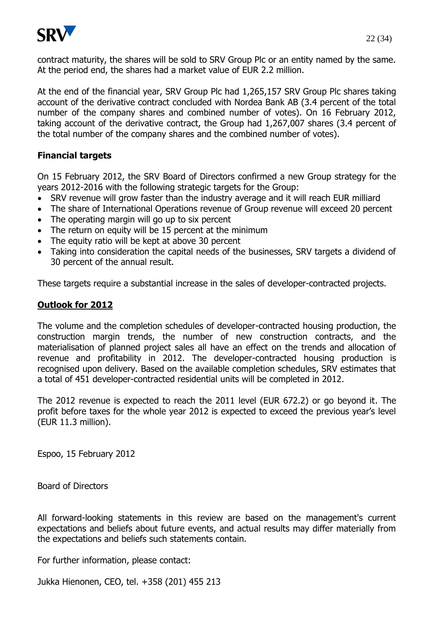

contract maturity, the shares will be sold to SRV Group Plc or an entity named by the same. At the period end, the shares had a market value of EUR 2.2 million.

At the end of the financial year, SRV Group Plc had 1,265,157 SRV Group Plc shares taking account of the derivative contract concluded with Nordea Bank AB (3.4 percent of the total number of the company shares and combined number of votes). On 16 February 2012, taking account of the derivative contract, the Group had 1,267,007 shares (3.4 percent of the total number of the company shares and the combined number of votes).

## **Financial targets**

On 15 February 2012, the SRV Board of Directors confirmed a new Group strategy for the years 2012-2016 with the following strategic targets for the Group:

- SRV revenue will grow faster than the industry average and it will reach EUR milliard
- The share of International Operations revenue of Group revenue will exceed 20 percent
- The operating margin will go up to six percent
- The return on equity will be 15 percent at the minimum
- The equity ratio will be kept at above 30 percent
- Taking into consideration the capital needs of the businesses, SRV targets a dividend of 30 percent of the annual result.

These targets require a substantial increase in the sales of developer-contracted projects.

## **Outlook for 2012**

The volume and the completion schedules of developer-contracted housing production, the construction margin trends, the number of new construction contracts, and the materialisation of planned project sales all have an effect on the trends and allocation of revenue and profitability in 2012. The developer-contracted housing production is recognised upon delivery. Based on the available completion schedules, SRV estimates that a total of 451 developer-contracted residential units will be completed in 2012.

The 2012 revenue is expected to reach the 2011 level (EUR 672.2) or go beyond it. The profit before taxes for the whole year 2012 is expected to exceed the previous year's level (EUR 11.3 million).

Espoo, 15 February 2012

Board of Directors

All forward-looking statements in this review are based on the management's current expectations and beliefs about future events, and actual results may differ materially from the expectations and beliefs such statements contain.

For further information, please contact:

Jukka Hienonen, CEO, tel. +358 (201) 455 213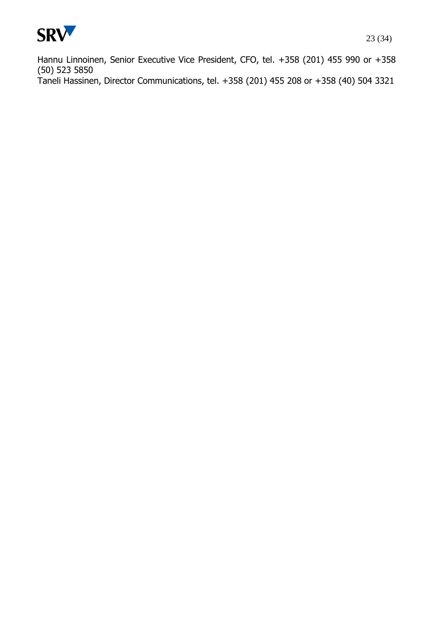

Hannu Linnoinen, Senior Executive Vice President, CFO, tel. +358 (201) 455 990 or +358 (50) 523 5850 Taneli Hassinen, Director Communications, tel. +358 (201) 455 208 or +358 (40) 504 3321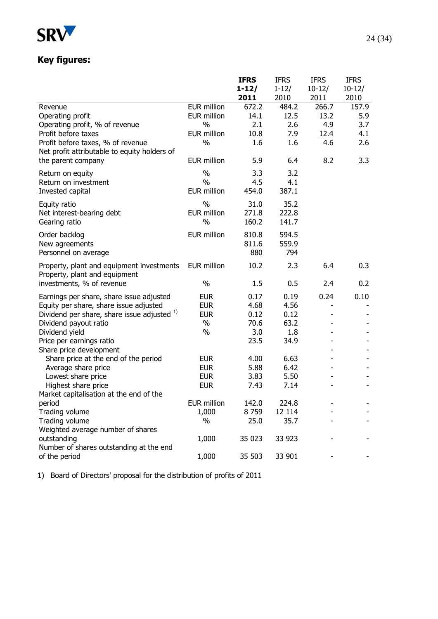

# **Key figures:**

|                                              |                    | <b>IFRS</b> | <b>IFRS</b> | <b>IFRS</b> | <b>IFRS</b> |
|----------------------------------------------|--------------------|-------------|-------------|-------------|-------------|
|                                              |                    | $1 - 12/$   | $1 - 12/$   | $10-12/$    | $10-12/$    |
|                                              |                    | 2011        | 2010        | 2011        | 2010        |
| Revenue                                      | <b>EUR million</b> | 672.2       | 484.2       | 266.7       | 157.9       |
| Operating profit                             | <b>EUR million</b> | 14.1        | 12.5        | 13.2        | 5.9         |
| Operating profit, % of revenue               | $\frac{0}{0}$      | 2.1         | 2.6         | 4.9         | 3.7         |
| Profit before taxes                          | <b>EUR million</b> | 10.8        | 7.9         | 12.4        | 4.1         |
| Profit before taxes, % of revenue            | $\frac{0}{0}$      | 1.6         | 1.6         | 4.6         | 2.6         |
| Net profit attributable to equity holders of |                    |             |             |             |             |
| the parent company                           | <b>EUR million</b> | 5.9         | 6.4         | 8.2         | 3.3         |
| Return on equity                             | $\%$               | 3.3         | 3.2         |             |             |
| Return on investment                         | $\frac{0}{0}$      | 4.5         | 4.1         |             |             |
| Invested capital                             | <b>EUR million</b> | 454.0       | 387.1       |             |             |
| Equity ratio                                 | $\frac{0}{0}$      | 31.0        | 35.2        |             |             |
| Net interest-bearing debt                    | <b>EUR million</b> | 271.8       | 222.8       |             |             |
| Gearing ratio                                | $\frac{0}{0}$      | 160.2       | 141.7       |             |             |
|                                              |                    |             |             |             |             |
| Order backlog                                | <b>EUR million</b> | 810.8       | 594.5       |             |             |
| New agreements                               |                    | 811.6       | 559.9       |             |             |
| Personnel on average                         |                    | 880         | 794         |             |             |
| Property, plant and equipment investments    | EUR million        | 10.2        | 2.3         | 6.4         | 0.3         |
| Property, plant and equipment                |                    |             |             |             |             |
| investments, % of revenue                    | $\%$               | 1.5         | 0.5         | 2.4         | 0.2         |
| Earnings per share, share issue adjusted     | <b>EUR</b>         | 0.17        | 0.19        | 0.24        | 0.10        |
| Equity per share, share issue adjusted       | <b>EUR</b>         | 4.68        | 4.56        |             |             |
| Dividend per share, share issue adjusted 1)  | <b>EUR</b>         | 0.12        | 0.12        |             |             |
| Dividend payout ratio                        | $\%$               | 70.6        | 63.2        |             |             |
| Dividend yield                               | $\%$               | 3.0         | 1.8         |             |             |
| Price per earnings ratio                     |                    | 23.5        | 34.9        |             |             |
| Share price development                      |                    |             |             |             |             |
| Share price at the end of the period         | <b>EUR</b>         | 4.00        | 6.63        |             |             |
| Average share price                          | <b>EUR</b>         | 5.88        | 6.42        |             |             |
| Lowest share price                           | <b>EUR</b>         | 3.83        | 5.50        |             |             |
| Highest share price                          | <b>EUR</b>         | 7.43        | 7.14        |             |             |
| Market capitalisation at the end of the      |                    |             |             |             |             |
| period                                       | <b>EUR million</b> | 142.0       | 224.8       |             |             |
| Trading volume                               | 1,000              | 8759        | 12 114      |             |             |
| Trading volume                               | $\%$               | 25.0        | 35.7        |             |             |
| Weighted average number of shares            |                    |             |             |             |             |
| outstanding                                  | 1,000              | 35 023      | 33 923      |             |             |
| Number of shares outstanding at the end      |                    |             |             |             |             |
| of the period                                | 1,000              | 35 503      | 33 901      |             |             |

1) Board of Directors' proposal for the distribution of profits of 2011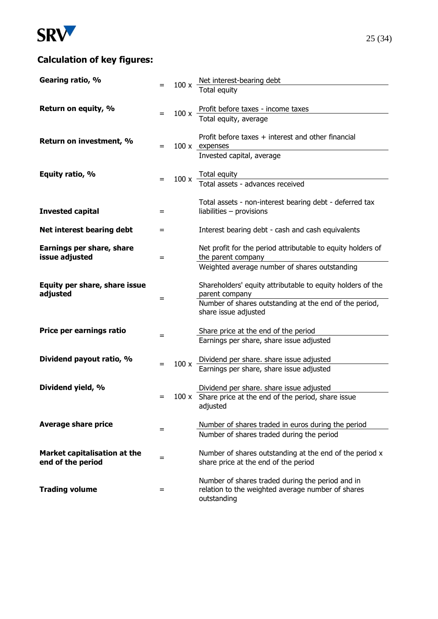

# **Calculation of key figures:**

| Gearing ratio, %                                  |     |      |                                                                                                 |
|---------------------------------------------------|-----|------|-------------------------------------------------------------------------------------------------|
|                                                   |     |      | 100 x $\frac{\text{Net interest-bearing debt}}{\text{Total equity}}$                            |
|                                                   |     |      |                                                                                                 |
| Return on equity, %                               | $=$ | 100x | Profit before taxes - income taxes<br>Total equity, average                                     |
|                                                   |     |      |                                                                                                 |
|                                                   |     |      | Profit before taxes + interest and other financial                                              |
| Return on investment, %                           | $=$ |      | 100 x expenses                                                                                  |
|                                                   |     |      | Invested capital, average                                                                       |
| Equity ratio, %                                   |     |      |                                                                                                 |
|                                                   |     |      | $100 \times$ Total equity<br>Total assets - advances received                                   |
|                                                   |     |      |                                                                                                 |
|                                                   |     |      | Total assets - non-interest bearing debt - deferred tax                                         |
| <b>Invested capital</b>                           | $=$ |      | liabilities $-$ provisions                                                                      |
| Net interest bearing debt                         | $=$ |      | Interest bearing debt - cash and cash equivalents                                               |
|                                                   |     |      |                                                                                                 |
| Earnings per share, share                         |     |      | Net profit for the period attributable to equity holders of                                     |
| issue adjusted                                    | =   |      | the parent company<br>Weighted average number of shares outstanding                             |
|                                                   |     |      |                                                                                                 |
| Equity per share, share issue                     |     |      | Shareholders' equity attributable to equity holders of the                                      |
| adjusted                                          | $=$ |      | parent company                                                                                  |
|                                                   |     |      | Number of shares outstanding at the end of the period,<br>share issue adjusted                  |
|                                                   |     |      |                                                                                                 |
| Price per earnings ratio                          | =   |      | Share price at the end of the period                                                            |
|                                                   |     |      | Earnings per share, share issue adjusted                                                        |
| Dividend payout ratio, %                          |     |      | Dividend per share. share issue adjusted                                                        |
|                                                   |     | 100x | Earnings per share, share issue adjusted                                                        |
|                                                   |     |      |                                                                                                 |
| Dividend yield, %                                 |     |      | Dividend per share. share issue adjusted                                                        |
|                                                   | $=$ |      | 100 x Share price at the end of the period, share issue<br>adjusted                             |
|                                                   |     |      |                                                                                                 |
| <b>Average share price</b>                        |     |      | Number of shares traded in euros during the period                                              |
|                                                   | =   |      | Number of shares traded during the period                                                       |
|                                                   |     |      |                                                                                                 |
| Market capitalisation at the<br>end of the period | $=$ |      | Number of shares outstanding at the end of the period x<br>share price at the end of the period |
|                                                   |     |      |                                                                                                 |
|                                                   |     |      | Number of shares traded during the period and in                                                |
| <b>Trading volume</b>                             | $=$ |      | relation to the weighted average number of shares<br>outstanding                                |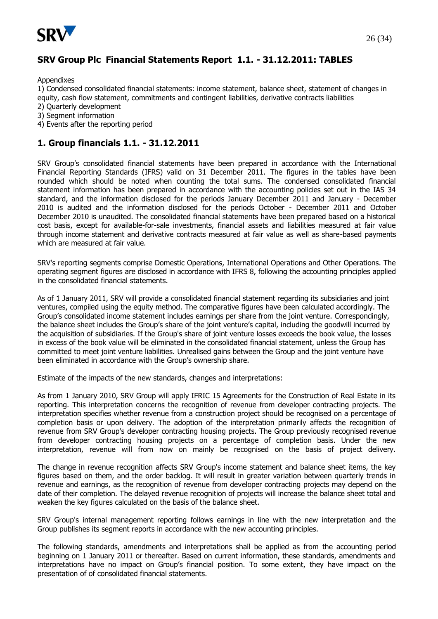

## **SRV Group Plc Financial Statements Report 1.1. - 31.12.2011: TABLES**

Appendixes

1) Condensed consolidated financial statements: income statement, balance sheet, statement of changes in equity, cash flow statement, commitments and contingent liabilities, derivative contracts liabilities

2) Quarterly development

- 3) Segment information
- 4) Events after the reporting period

## **1. Group financials 1.1. - 31.12.2011**

SRV Group's consolidated financial statements have been prepared in accordance with the International Financial Reporting Standards (IFRS) valid on 31 December 2011. The figures in the tables have been rounded which should be noted when counting the total sums. The condensed consolidated financial statement information has been prepared in accordance with the accounting policies set out in the IAS 34 standard, and the information disclosed for the periods January December 2011 and January - December 2010 is audited and the information disclosed for the periods October - December 2011 and October December 2010 is unaudited. The consolidated financial statements have been prepared based on a historical cost basis, except for available-for-sale investments, financial assets and liabilities measured at fair value through income statement and derivative contracts measured at fair value as well as share-based payments which are measured at fair value.

SRV's reporting segments comprise Domestic Operations, International Operations and Other Operations. The operating segment figures are disclosed in accordance with IFRS 8, following the accounting principles applied in the consolidated financial statements.

As of 1 January 2011, SRV will provide a consolidated financial statement regarding its subsidiaries and joint ventures, compiled using the equity method. The comparative figures have been calculated accordingly. The Group's consolidated income statement includes earnings per share from the joint venture. Correspondingly, the balance sheet includes the Group's share of the joint venture's capital, including the goodwill incurred by the acquisition of subsidiaries. If the Group's share of joint venture losses exceeds the book value, the losses in excess of the book value will be eliminated in the consolidated financial statement, unless the Group has committed to meet joint venture liabilities. Unrealised gains between the Group and the joint venture have been eliminated in accordance with the Group's ownership share.

Estimate of the impacts of the new standards, changes and interpretations:

As from 1 January 2010, SRV Group will apply IFRIC 15 Agreements for the Construction of Real Estate in its reporting. This interpretation concerns the recognition of revenue from developer contracting projects. The interpretation specifies whether revenue from a construction project should be recognised on a percentage of completion basis or upon delivery. The adoption of the interpretation primarily affects the recognition of revenue from SRV Group's developer contracting housing projects. The Group previously recognised revenue from developer contracting housing projects on a percentage of completion basis. Under the new interpretation, revenue will from now on mainly be recognised on the basis of project delivery.

The change in revenue recognition affects SRV Group's income statement and balance sheet items, the key figures based on them, and the order backlog. It will result in greater variation between quarterly trends in revenue and earnings, as the recognition of revenue from developer contracting projects may depend on the date of their completion. The delayed revenue recognition of projects will increase the balance sheet total and weaken the key figures calculated on the basis of the balance sheet.

SRV Group's internal management reporting follows earnings in line with the new interpretation and the Group publishes its segment reports in accordance with the new accounting principles.

The following standards, amendments and interpretations shall be applied as from the accounting period beginning on 1 January 2011 or thereafter. Based on current information, these standards, amendments and interpretations have no impact on Group's financial position. To some extent, they have impact on the presentation of of consolidated financial statements.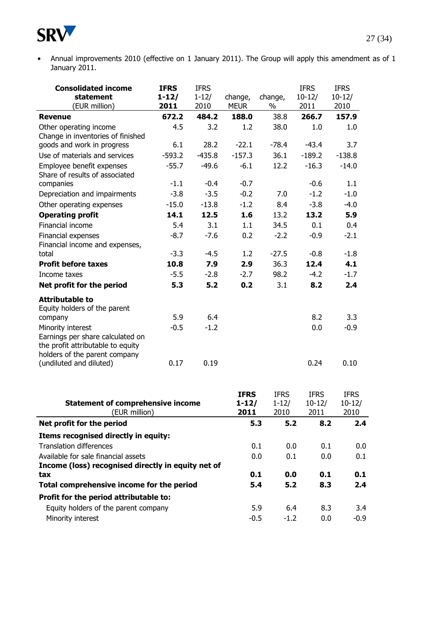

• Annual improvements 2010 (effective on 1 January 2011). The Group will apply this amendment as of 1 January 2011.

| <b>Consolidated income</b><br>statement                                                                                     | <b>IFRS</b><br>$1 - 12/$ | <b>IFRS</b><br>$1 - 12/$ | change,                          | change,                          | <b>IFRS</b><br>$10 - 12/$       | <b>IFRS</b><br>$10-12/$         |
|-----------------------------------------------------------------------------------------------------------------------------|--------------------------|--------------------------|----------------------------------|----------------------------------|---------------------------------|---------------------------------|
| (EUR million)                                                                                                               | 2011                     | 2010                     | <b>MEUR</b>                      | %                                | 2011                            | 2010                            |
| <b>Revenue</b>                                                                                                              | 672.2                    | 484.2                    | 188.0                            | 38.8                             | 266.7                           | 157.9                           |
| Other operating income<br>Change in inventories of finished                                                                 | 4.5                      | 3.2                      | 1.2                              | 38.0                             | 1.0                             | 1.0                             |
| goods and work in progress                                                                                                  | 6.1                      | 28.2                     | $-22.1$                          | $-78.4$                          | $-43.4$                         | 3.7                             |
| Use of materials and services                                                                                               | $-593.2$                 | $-435.8$                 | $-157.3$                         | 36.1                             | $-189.2$                        | $-138.8$                        |
| Employee benefit expenses<br>Share of results of associated                                                                 | $-55.7$                  | $-49.6$                  | $-6.1$                           | 12.2                             | $-16.3$                         | $-14.0$                         |
| companies                                                                                                                   | $-1.1$                   | $-0.4$                   | $-0.7$                           |                                  | $-0.6$                          | 1.1                             |
| Depreciation and impairments                                                                                                | $-3.8$                   | $-3.5$                   | $-0.2$                           | 7.0                              | $-1.2$                          | $-1.0$                          |
| Other operating expenses                                                                                                    | $-15.0$                  | $-13.8$                  | $-1.2$                           | 8.4                              | $-3.8$                          | $-4.0$                          |
| <b>Operating profit</b>                                                                                                     | 14.1                     | 12.5                     | 1.6                              | 13.2                             | 13.2                            | 5.9                             |
| Financial income                                                                                                            | 5.4                      | 3.1                      | 1.1                              | 34.5                             | 0.1                             | 0.4                             |
| Financial expenses<br>Financial income and expenses,                                                                        | $-8.7$                   | $-7.6$                   | 0.2                              | $-2.2$                           | $-0.9$                          | $-2.1$                          |
| total                                                                                                                       | $-3.3$                   | $-4.5$                   | 1.2                              | $-27.5$                          | $-0.8$                          | $-1.8$                          |
| <b>Profit before taxes</b>                                                                                                  | 10.8                     | 7.9                      | 2.9                              | 36.3                             | 12.4                            | 4.1                             |
| Income taxes                                                                                                                | $-5.5$                   | $-2.8$                   | $-2.7$                           | 98.2                             | $-4.2$                          | $-1.7$                          |
| Net profit for the period                                                                                                   | 5.3                      | 5.2                      | 0.2                              | 3.1                              | 8.2                             | 2.4                             |
| <b>Attributable to</b><br>Equity holders of the parent                                                                      |                          |                          |                                  |                                  |                                 |                                 |
| company                                                                                                                     | 5.9                      | 6.4                      |                                  |                                  | 8.2                             | 3.3                             |
| Minority interest<br>Earnings per share calculated on<br>the profit attributable to equity<br>holders of the parent company | $-0.5$                   | $-1.2$                   |                                  |                                  | 0.0                             | $-0.9$                          |
| (undiluted and diluted)                                                                                                     | 0.17                     | 0.19                     |                                  |                                  | 0.24                            | 0.10                            |
| <b>Statement of comprehensive income</b><br>(EUR million)                                                                   |                          |                          | <b>IFRS</b><br>$1 - 12/$<br>2011 | <b>IFRS</b><br>$1 - 12/$<br>2010 | <b>IFRS</b><br>$10-12/$<br>2011 | <b>IFRS</b><br>$10-12/$<br>2010 |
| Net profit for the period                                                                                                   |                          |                          |                                  | 5.3<br>5.2                       | 8.2                             | 2.4                             |
| Items recognised directly in equity:                                                                                        |                          |                          |                                  |                                  |                                 |                                 |
| <b>Translation differences</b>                                                                                              |                          |                          |                                  | 0.1<br>0.0                       | 0.1                             | 0.0                             |
| Available for sale financial assets                                                                                         |                          |                          |                                  | 0.0<br>0.1                       | 0.0                             | 0.1                             |
| Income (loss) recognised directly in equity net of                                                                          |                          |                          |                                  |                                  |                                 |                                 |
| tax                                                                                                                         |                          |                          |                                  | 0.1<br>0.0                       | 0.1                             | 0.1                             |
| Total comprehensive income for the period                                                                                   |                          |                          |                                  | 5.4<br>5.2                       | 8.3                             | 2.4                             |
| Profit for the period attributable to:                                                                                      |                          |                          |                                  |                                  |                                 |                                 |

Equity holders of the parent company 5.9 6.4 8.3 3.4 Minority interest 1.2 0.0 -0.9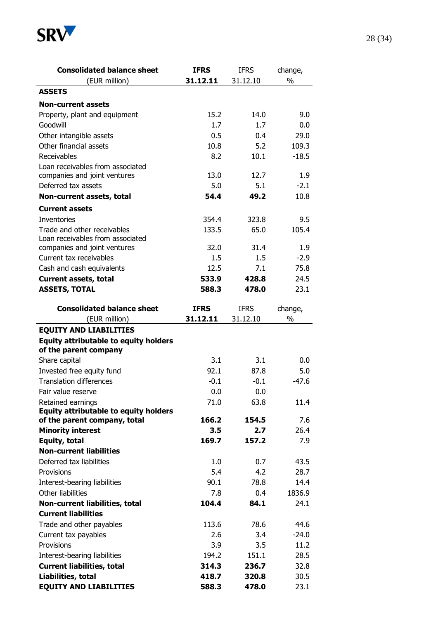

| <b>Consolidated balance sheet</b>               | <b>IFRS</b> | <b>IFRS</b> | change,       |
|-------------------------------------------------|-------------|-------------|---------------|
| (EUR million)                                   | 31.12.11    | 31.12.10    | $\frac{0}{0}$ |
| <b>ASSETS</b>                                   |             |             |               |
| <b>Non-current assets</b>                       |             |             |               |
| Property, plant and equipment                   | 15.2        | 14.0        | 9.0           |
| Goodwill                                        | 1.7         | 1.7         | 0.0           |
| Other intangible assets                         | 0.5         | 0.4         | 29.0          |
| Other financial assets                          | 10.8        | 5.2         | 109.3         |
| Receivables                                     | 8.2         | 10.1        | $-18.5$       |
| Loan receivables from associated                |             |             |               |
| companies and joint ventures                    | 13.0        | 12.7        | 1.9           |
| Deferred tax assets                             | 5.0         | 5.1         | $-2.1$        |
| Non-current assets, total                       | 54.4        | 49.2        | 10.8          |
| <b>Current assets</b>                           |             |             |               |
| <b>Inventories</b>                              | 354.4       | 323.8       | 9.5           |
| Trade and other receivables                     | 133.5       | 65.0        | 105.4         |
| Loan receivables from associated                |             |             |               |
| companies and joint ventures                    | 32.0        | 31.4        | 1.9           |
| Current tax receivables                         | 1.5         | 1.5         | $-2.9$        |
| Cash and cash equivalents                       | 12.5        | 7.1         | 75.8          |
| <b>Current assets, total</b>                    | 533.9       | 428.8       | 24.5          |
| <b>ASSETS, TOTAL</b>                            | 588.3       | 478.0       | 23.1          |
| <b>Consolidated balance sheet</b>               | <b>IFRS</b> | <b>IFRS</b> | change,       |
| (EUR million)                                   | 31.12.11    | 31.12.10    | $\%$          |
| of the parent company                           |             |             |               |
| Share capital                                   | 3.1         | 3.1         | 0.0           |
| Invested free equity fund                       | 92.1        | 87.8        | 5.0           |
| <b>Translation differences</b>                  | $-0.1$      | $-0.1$      | $-47.6$       |
| Fair value reserve                              | 0.0         | 0.0         |               |
| Retained earnings                               | 71.0        | 63.8        | 11.4          |
| <b>Equity attributable to equity holders</b>    |             |             |               |
| of the parent company, total                    | 166.2       | 154.5       | 7.6           |
| <b>Minority interest</b>                        | 3.5         | 2.7         | 26.4          |
| Equity, total<br><b>Non-current liabilities</b> | 169.7       | 157.2       | 7.9           |
| Deferred tax liabilities                        |             |             |               |
|                                                 | 1.0         | 0.7         | 43.5          |
| Provisions                                      | 5.4         | 4.2         | 28.7          |
| Interest-bearing liabilities                    | 90.1        | 78.8        | 14.4          |
| Other liabilities                               | 7.8         | 0.4         | 1836.9        |
| Non-current liabilities, total                  | 104.4       | 84.1        | 24.1          |
| <b>Current liabilities</b>                      |             |             |               |
| Trade and other payables                        | 113.6       | 78.6        | 44.6          |
| Current tax payables                            | 2.6         | 3.4         | $-24.0$       |
| Provisions                                      | 3.9         | 3.5         | 11.2          |
| Interest-bearing liabilities                    | 194.2       | 151.1       | 28.5          |
| <b>Current liabilities, total</b>               | 314.3       | 236.7       | 32.8          |
| Liabilities, total                              | 418.7       | 320.8       | 30.5          |
| <b>EQUITY AND LIABILITIES</b>                   | 588.3       | 478.0       | 23.1          |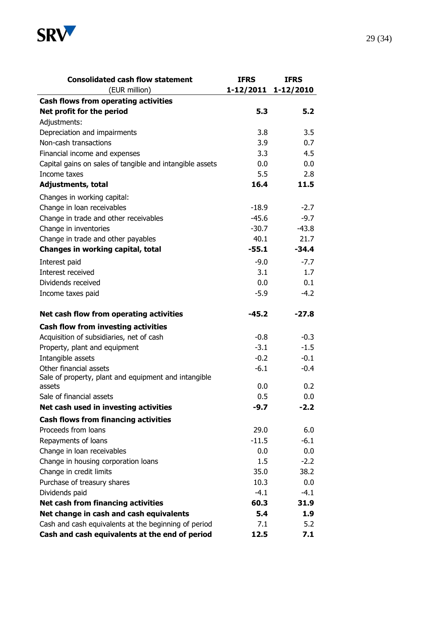

| <b>Consolidated cash flow statement</b>                  | <b>IFRS</b>         | <b>IFRS</b> |
|----------------------------------------------------------|---------------------|-------------|
| (EUR million)                                            | 1-12/2011 1-12/2010 |             |
| <b>Cash flows from operating activities</b>              |                     |             |
| Net profit for the period                                | 5.3                 | 5.2         |
| Adjustments:                                             |                     |             |
| Depreciation and impairments                             | 3.8                 | 3.5         |
| Non-cash transactions                                    | 3.9                 | 0.7         |
| Financial income and expenses                            | 3.3                 | 4.5         |
| Capital gains on sales of tangible and intangible assets | 0.0                 | 0.0         |
| Income taxes                                             | 5.5                 | 2.8         |
| <b>Adjustments, total</b>                                | 16.4                | 11.5        |
| Changes in working capital:                              |                     |             |
| Change in loan receivables                               | $-18.9$             | $-2.7$      |
| Change in trade and other receivables                    | $-45.6$             | $-9.7$      |
| Change in inventories                                    | $-30.7$             | $-43.8$     |
| Change in trade and other payables                       | 40.1                | 21.7        |
| Changes in working capital, total                        | $-55.1$             | $-34.4$     |
| Interest paid                                            | $-9.0$              | $-7.7$      |
| Interest received                                        | 3.1                 | 1.7         |
| Dividends received                                       | 0.0                 | 0.1         |
| Income taxes paid                                        | $-5.9$              | $-4.2$      |
| Net cash flow from operating activities                  | $-45.2$             | $-27.8$     |
| <b>Cash flow from investing activities</b>               |                     |             |
| Acquisition of subsidiaries, net of cash                 | $-0.8$              | $-0.3$      |
| Property, plant and equipment                            | $-3.1$              | $-1.5$      |
| Intangible assets                                        | $-0.2$              | $-0.1$      |
| Other financial assets                                   | $-6.1$              | $-0.4$      |
| Sale of property, plant and equipment and intangible     |                     |             |
| assets                                                   | 0.0                 | 0.2         |
| Sale of financial assets                                 | 0.5                 | 0.0         |
| Net cash used in investing activities                    | $-9.7$              | $-2.2$      |
| <b>Cash flows from financing activities</b>              |                     |             |
| Proceeds from loans                                      | 29.0                | 6.0         |
| Repayments of loans                                      | $-11.5$             | $-6.1$      |
| Change in loan receivables                               | 0.0                 | 0.0         |
| Change in housing corporation loans                      | 1.5                 | $-2.2$      |
| Change in credit limits                                  | 35.0                | 38.2        |
| Purchase of treasury shares                              | 10.3                | 0.0         |
| Dividends paid                                           | $-4.1$              | $-4.1$      |
| Net cash from financing activities                       | 60.3                | 31.9        |
| Net change in cash and cash equivalents                  | 5.4                 | 1.9         |
| Cash and cash equivalents at the beginning of period     | 7.1                 | 5.2         |
| Cash and cash equivalents at the end of period           | 12.5                | 7.1         |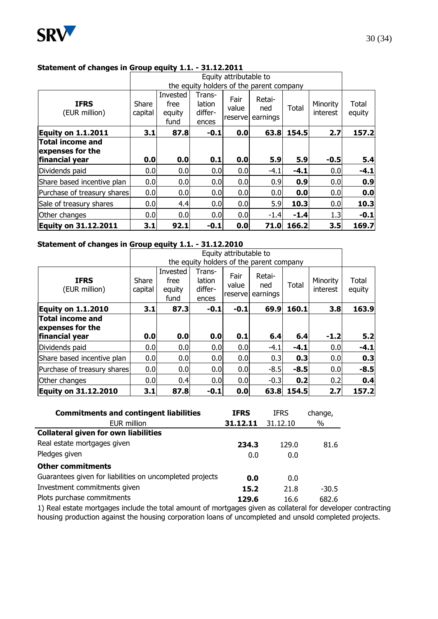

# 30 (34)

#### **Statement of changes in Group equity 1.1. - 31.12.2011**

|                                             |                  |                                          |                                      | Equity attributable to    |                           |        |                      |                 |
|---------------------------------------------|------------------|------------------------------------------|--------------------------------------|---------------------------|---------------------------|--------|----------------------|-----------------|
|                                             |                  | the equity holders of the parent company |                                      |                           |                           |        |                      |                 |
| <b>IFRS</b><br>(EUR million)                | Share<br>capital | Invested<br>free<br>equity<br>fund       | Trans-<br>lation<br>differ-<br>ences | Fair<br>value<br>reservel | Retai-<br>ned<br>earnings | Total  | Minority<br>interest | Total<br>equity |
| <b>Equity on 1.1.2011</b>                   | 3.1              | 87.8                                     | $-0.1$                               | 0.0                       | 63.8                      | 154.5  | 2.7                  | 157.2           |
| <b>Total income and</b><br>expenses for the |                  |                                          |                                      |                           |                           |        |                      |                 |
| financial year                              | 0.0              | 0.0                                      | 0.1                                  | 0.0                       | 5.9                       | 5.9    | $-0.5$               | 5.4             |
| Dividends paid                              | 0.0              | 0.0                                      | 0.0 <sub>l</sub>                     | 0.0                       | $-4.1$                    | $-4.1$ | 0.0                  | $-4.1$          |
| Share based incentive plan                  | 0.0              | 0.0                                      | 0.0                                  | 0.0                       | 0.9                       | 0.9    | 0.0                  | 0.9             |
| Purchase of treasury shares                 | 0.0              | 0.0                                      | 0.0                                  | 0.0                       | 0.0                       | 0.0    | 0.0                  | 0.0             |
| Sale of treasury shares                     | 0.0              | 4.4                                      | 0.0                                  | 0.0                       | 5.9                       | 10.3   | 0.0                  | 10.3            |
| Other changes                               | 0.0              | 0.0                                      | 0.0                                  | 0.0                       | $-1.4$                    | $-1.4$ | 1.3                  | $-0.1$          |
| <b>Equity on 31.12.2011</b>                 | 3.1              | 92.1                                     | $-0.1$                               | 0.0                       | 71.0                      | 166.2  | 3.5                  | 169.7           |

#### **Statement of changes in Group equity 1.1. - 31.12.2010**

|                                             |                  |                                    |                                      | Equity attributable to    |                                          |        |                      |                 |
|---------------------------------------------|------------------|------------------------------------|--------------------------------------|---------------------------|------------------------------------------|--------|----------------------|-----------------|
|                                             |                  |                                    |                                      |                           | the equity holders of the parent company |        |                      |                 |
| <b>IFRS</b><br>(EUR million)                | Share<br>capital | Invested<br>free<br>equity<br>fund | Trans-<br>lation<br>differ-<br>ences | Fair<br>value<br>reservel | Retai-<br>ned<br>earnings                | Total  | Minority<br>interest | Total<br>equity |
| <b>Equity on 1.1.2010</b>                   | 3.1              | 87.3                               | $-0.1$                               | $-0.1$                    | 69.9                                     | 160.1  | 3.8                  | 163.9           |
| <b>Total income and</b><br>expenses for the |                  |                                    |                                      |                           |                                          |        |                      |                 |
| financial year                              | 0.0              | 0.0                                | 0.0                                  | 0.1                       | 6.4                                      | 6.4    | $-1.2$               | 5.2             |
| Dividends paid                              | 0.0              | 0.0                                | 0.0                                  | 0.0                       | $-4.1$                                   | $-4.1$ | 0.0                  | $-4.1$          |
| Share based incentive plan                  | 0.0              | 0.0                                | 0.0                                  | 0.0                       | 0.3                                      | 0.3    | 0.0                  | 0.3             |
| Purchase of treasury shares                 | 0.0              | 0.0                                | 0.0                                  | 0.0                       | $-8.5$                                   | $-8.5$ | 0.0                  | $-8.5$          |
| Other changes                               | 0.0              | 0.4                                | 0.0                                  | 0.0                       | $-0.3$                                   | 0.2    | 0.2                  | 0.4             |
| <b>Equity on 31.12.2010</b>                 | 3.1              | 87.8                               | $-0.1$                               | 0.0                       | 63.8                                     | 154.5  | 2.7                  | 157.2           |

| <b>Commitments and contingent liabilities</b>            | <b>IFRS</b> | <b>IFRS</b> | change, |
|----------------------------------------------------------|-------------|-------------|---------|
| EUR million                                              | 31.12.11    | 31.12.10    | %       |
| <b>Collateral given for own liabilities</b>              |             |             |         |
| Real estate mortgages given                              | 234.3       | 129.0       | 81.6    |
| Pledges given                                            | 0.0         | 0.0         |         |
| <b>Other commitments</b>                                 |             |             |         |
| Guarantees given for liabilities on uncompleted projects | 0.0         | 0.0         |         |
| Investment commitments given                             | 15.2        | 21.8        | $-30.5$ |
| Plots purchase commitments                               | 129.6       | 16.6        | 682.6   |
|                                                          |             |             |         |

1) Real estate mortgages include the total amount of mortgages given as collateral for developer contracting housing production against the housing corporation loans of uncompleted and unsold completed projects.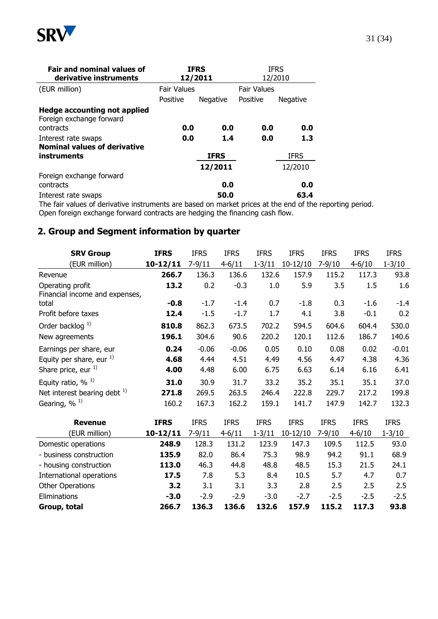

| <b>Fair and nominal values of</b><br>derivative instruments     | <b>IFRS</b><br><b>IFRS</b><br>12/2011<br>12/2010 |             |                    |                 |  |  |
|-----------------------------------------------------------------|--------------------------------------------------|-------------|--------------------|-----------------|--|--|
| (EUR million)                                                   | <b>Fair Values</b>                               |             | <b>Fair Values</b> |                 |  |  |
|                                                                 | Positive                                         | Negative    | Positive           | <b>Negative</b> |  |  |
| <b>Hedge accounting not applied</b><br>Foreign exchange forward |                                                  |             |                    |                 |  |  |
| contracts                                                       | 0.0                                              | 0.0         | 0.0                | 0.0             |  |  |
| Interest rate swaps                                             | 0.0                                              | 1.4         | 0.0                | 1.3             |  |  |
| <b>Nominal values of derivative</b>                             |                                                  |             |                    |                 |  |  |
| instruments                                                     |                                                  | <b>IFRS</b> |                    | <b>IFRS</b>     |  |  |
|                                                                 |                                                  | 12/2011     |                    | 12/2010         |  |  |
| Foreign exchange forward                                        |                                                  |             |                    |                 |  |  |
| contracts                                                       |                                                  | 0.0         |                    | 0.0             |  |  |
| Interest rate swaps                                             |                                                  | 50.0        |                    | 63.4            |  |  |

The fair values of derivative instruments are based on market prices at the end of the reporting period. Open foreign exchange forward contracts are hedging the financing cash flow.

## **2. Group and Segment information by quarter**

| <b>SRV Group</b>                  | <b>IFRS</b>  | <b>IFRS</b> | <b>IFRS</b>  | <b>IFRS</b> | <b>IFRS</b> | <b>IFRS</b> | <b>IFRS</b> | <b>IFRS</b> |
|-----------------------------------|--------------|-------------|--------------|-------------|-------------|-------------|-------------|-------------|
| (EUR million)                     | $10 - 12/11$ | $7 - 9/11$  | $4 - 6 / 11$ | $1 - 3/11$  | $10-12/10$  | $7 - 9/10$  | $4 - 6/10$  | $1 - 3/10$  |
| Revenue                           | 266.7        | 136.3       | 136.6        | 132.6       | 157.9       | 115.2       | 117.3       | 93.8        |
| Operating profit                  | 13.2         | 0.2         | $-0.3$       | 1.0         | 5.9         | 3.5         | 1.5         | 1.6         |
| Financial income and expenses,    |              |             |              |             |             |             |             |             |
| total                             | $-0.8$       | $-1.7$      | $-1.4$       | 0.7         | $-1.8$      | 0.3         | $-1.6$      | $-1.4$      |
| Profit before taxes               | 12.4         | $-1.5$      | $-1.7$       | 1.7         | 4.1         | 3.8         | $-0.1$      | 0.2         |
| Order backlog $^{1)}$             | 810.8        | 862.3       | 673.5        | 702.2       | 594.5       | 604.6       | 604.4       | 530.0       |
| New agreements                    | 196.1        | 304.6       | 90.6         | 220.2       | 120.1       | 112.6       | 186.7       | 140.6       |
| Earnings per share, eur           | 0.24         | $-0.06$     | $-0.06$      | 0.05        | 0.10        | 0.08        | 0.02        | $-0.01$     |
| Equity per share, eur $^{1)}$     | 4.68         | 4.44        | 4.51         | 4.49        | 4.56        | 4.47        | 4.38        | 4.36        |
| Share price, eur <sup>1)</sup>    | 4.00         | 4.48        | 6.00         | 6.75        | 6.63        | 6.14        | 6.16        | 6.41        |
| Equity ratio, $\%$ <sup>1)</sup>  | 31.0         | 30.9        | 31.7         | 33.2        | 35.2        | 35.1        | 35.1        | 37.0        |
| Net interest bearing debt $^{1)}$ | 271.8        | 269.5       | 263.5        | 246.4       | 222.8       | 229.7       | 217.2       | 199.8       |
| Gearing, % <sup>1)</sup>          | 160.2        | 167.3       | 162.2        | 159.1       | 141.7       | 147.9       | 142.7       | 132.3       |
|                                   |              |             |              |             |             |             |             |             |
| <b>Revenue</b>                    | <b>IFRS</b>  | <b>IFRS</b> | <b>IFRS</b>  | <b>IFRS</b> | <b>IFRS</b> | <b>IFRS</b> | <b>IFRS</b> | <b>IFRS</b> |
| (EUR million)                     | $10 - 12/11$ | $7 - 9/11$  | $4 - 6 / 11$ | $1 - 3/11$  | $10-12/10$  | $7 - 9/10$  | $4 - 6/10$  | $1 - 3/10$  |
| Domestic operations               | 248.9        | 128.3       | 131.2        | 123.9       | 147.3       | 109.5       | 112.5       | 93.0        |
| - business construction           | 135.9        | 82.0        | 86.4         | 75.3        | 98.9        | 94.2        | 91.1        | 68.9        |
| - housing construction            | 113.0        | 46.3        | 44.8         | 48.8        | 48.5        | 15.3        | 21.5        | 24.1        |
| International operations          | 17.5         | 7.8         | 5.3          | 8.4         | 10.5        | 5.7         | 4.7         | 0.7         |

Other Operations **3.2** 3.1 3.1 3.3 2.8 2.5 2.5 2.5 Eliminations **-3.0** -2.9 -2.9 -3.0 -2.7 -2.5 -2.5 -2.5 **Group, total 266.7 136.3 136.6 132.6 157.9 115.2 117.3 93.8**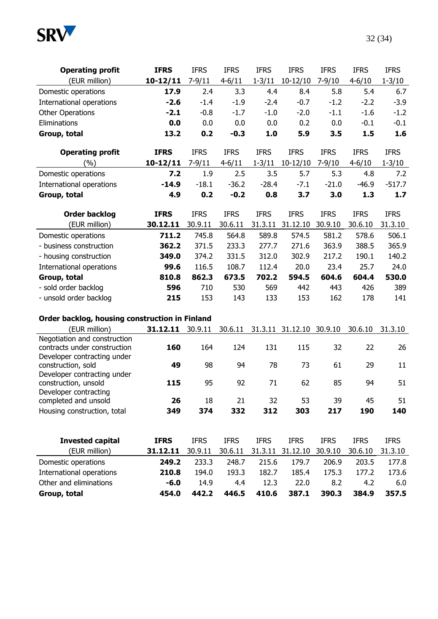

| <b>Operating profit</b>                           | <b>IFRS</b>  | <b>IFRS</b> | <b>IFRS</b>  | <b>IFRS</b> | <b>IFRS</b>              | <b>IFRS</b> | <b>IFRS</b>  | <b>IFRS</b> |
|---------------------------------------------------|--------------|-------------|--------------|-------------|--------------------------|-------------|--------------|-------------|
| (EUR million)                                     | $10 - 12/11$ | $7 - 9/11$  | $4 - 6 / 11$ | $1 - 3/11$  | $10-12/10$               | $7 - 9/10$  | $4 - 6 / 10$ | $1 - 3/10$  |
| Domestic operations                               | 17.9         | 2.4         | 3.3          | 4.4         | 8.4                      | 5.8         | 5.4          | 6.7         |
| International operations                          | $-2.6$       | $-1.4$      | $-1.9$       | $-2.4$      | $-0.7$                   | $-1.2$      | $-2.2$       | $-3.9$      |
| <b>Other Operations</b>                           | $-2.1$       | $-0.8$      | $-1.7$       | $-1.0$      | $-2.0$                   | $-1.1$      | $-1.6$       | $-1.2$      |
| Eliminations                                      | 0.0          | 0.0         | 0.0          | 0.0         | 0.2                      | 0.0         | $-0.1$       | $-0.1$      |
| Group, total                                      | 13.2         | 0.2         | $-0.3$       | 1.0         | 5.9                      | 3.5         | 1.5          | 1.6         |
| <b>Operating profit</b>                           | <b>IFRS</b>  | <b>IFRS</b> | <b>IFRS</b>  | <b>IFRS</b> | <b>IFRS</b>              | <b>IFRS</b> | <b>IFRS</b>  | <b>IFRS</b> |
| $(\% )$                                           | $10 - 12/11$ | $7 - 9/11$  | $4 - 6 / 11$ | $1 - 3/11$  | $10-12/10$               | $7 - 9/10$  | $4 - 6 / 10$ | $1 - 3/10$  |
| Domestic operations                               | 7.2          | 1.9         | 2.5          | 3.5         | 5.7                      | 5.3         | 4.8          | 7.2         |
| International operations                          | $-14.9$      | $-18.1$     | $-36.2$      | $-28.4$     | $-7.1$                   | $-21.0$     | $-46.9$      | $-517.7$    |
| Group, total                                      | 4.9          | 0.2         | $-0.2$       | 0.8         | 3.7                      | 3.0         | 1.3          | 1.7         |
| <b>Order backlog</b>                              | <b>IFRS</b>  | <b>IFRS</b> | <b>IFRS</b>  | <b>IFRS</b> | <b>IFRS</b>              | <b>IFRS</b> | <b>IFRS</b>  | <b>IFRS</b> |
| (EUR million)                                     | 30.12.11     | 30.9.11     | 30.6.11      | 31.3.11     | 31.12.10                 | 30.9.10     | 30.6.10      | 31.3.10     |
| Domestic operations                               | 711.2        | 745.8       | 564.8        | 589.8       | 574.5                    | 581.2       | 578.6        | 506.1       |
| - business construction                           | 362.2        | 371.5       | 233.3        | 277.7       | 271.6                    | 363.9       | 388.5        | 365.9       |
| - housing construction                            | 349.0        | 374.2       | 331.5        | 312.0       | 302.9                    | 217.2       | 190.1        | 140.2       |
| International operations                          | 99.6         | 116.5       | 108.7        | 112.4       | 20.0                     | 23.4        | 25.7         | 24.0        |
| Group, total                                      | 810.8        | 862.3       | 673.5        | 702.2       | 594.5                    | 604.6       | 604.4        | 530.0       |
| - sold order backlog                              | 596          | 710         | 530          | 569         | 442                      | 443         | 426          | 389         |
| - unsold order backlog                            | 215          | 153         | 143          | 133         | 153                      | 162         | 178          | 141         |
| Order backlog, housing construction in Finland    |              |             |              |             |                          |             |              |             |
| (EUR million)                                     | 31.12.11     | 30.9.11     | 30.6.11      |             | 31.3.11 31.12.10 30.9.10 |             | 30.6.10      | 31.3.10     |
| Negotiation and construction                      |              |             |              |             |                          |             |              |             |
| contracts under construction                      | 160          | 164         | 124          | 131         | 115                      | 32          | 22           | 26          |
| Developer contracting under<br>construction, sold | 49           | 98          | 94           | 78          | 73                       | 61          | 29           | 11          |
| Developer contracting under                       |              |             |              |             |                          |             |              |             |
| construction, unsold                              | 115          | 95          | 92           | 71          | 62                       | 85          | 94           | 51          |
| Developer contracting                             |              |             |              |             |                          |             |              |             |
| completed and unsold                              | 26           | 18          | 21           | 32          | 53                       | 39          | 45           | 51          |
| Housing construction, total                       | 349          | 374         | 332          | 312         | 303                      | 217         | 190          | 140         |
| <b>Invested capital</b>                           | <b>IFRS</b>  | <b>IFRS</b> | <b>IFRS</b>  | <b>IFRS</b> | <b>IFRS</b>              | <b>IFRS</b> | <b>IFRS</b>  | <b>IFRS</b> |
| (EUR million)                                     | 31.12.11     | 30.9.11     | 30.6.11      | 31.3.11     | 31.12.10                 | 30.9.10     | 30.6.10      | 31.3.10     |
| Domestic operations                               | 249.2        | 233.3       | 248.7        | 215.6       | 179.7                    | 206.9       | 203.5        | 177.8       |
| International operations                          | 210.8        | 194.0       | 193.3        | 182.7       | 185.4                    | 175.3       | 177.2        | 173.6       |
| Other and eliminations                            | $-6.0$       | 14.9        | 4.4          | 12.3        | 22.0                     | 8.2         | 4.2          | 6.0         |
| Group, total                                      | 454.0        | 442.2       | 446.5        | 410.6       | 387.1                    | 390.3       | 384.9        | 357.5       |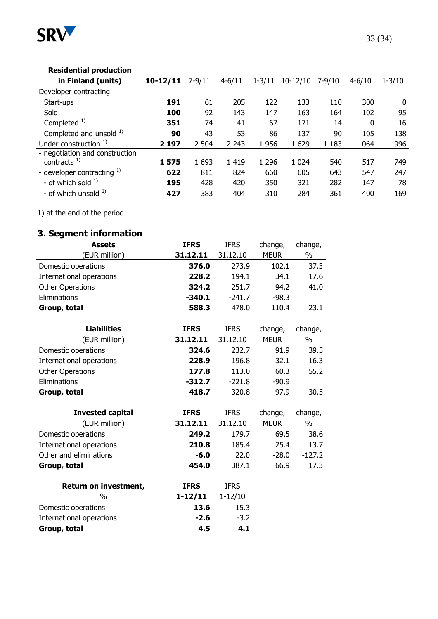

## **Residential production**

| in Finland (units)                                                                                                                       | $10 - 12/11$              | $7 - 9/11$                   | $4 - 6/11$                | $1 - 3/11$                   | $10-12/10$                   | $7 - 9/10$               | $4 - 6/10$               | $1 - 3/10$              |
|------------------------------------------------------------------------------------------------------------------------------------------|---------------------------|------------------------------|---------------------------|------------------------------|------------------------------|--------------------------|--------------------------|-------------------------|
| Developer contracting                                                                                                                    |                           |                              |                           |                              |                              |                          |                          |                         |
| Start-ups                                                                                                                                | 191                       | 61                           | 205                       | 122                          | 133                          | 110                      | 300                      | $\Omega$                |
| Sold                                                                                                                                     | 100                       | 92                           | 143                       | 147                          | 163                          | 164                      | 102                      | 95                      |
| Completed $1$ )                                                                                                                          | 351                       | 74                           | 41                        | 67                           | 171                          | 14                       | 0                        | 16                      |
| Completed and unsold 1)                                                                                                                  | 90                        | 43                           | 53                        | 86                           | 137                          | 90                       | 105                      | 138                     |
| Under construction $1$ )                                                                                                                 | 2 1 9 7                   | 2 504                        | 2 2 4 3                   | 1956                         | 1629                         | 1 1 8 3                  | 1 0 6 4                  | 996                     |
| - negotiation and construction<br>contracts $^{1)}$<br>- developer contracting $^{1)}$<br>- of which sold $1$<br>- of which unsold $1$ ) | 1575<br>622<br>195<br>427 | 1 6 9 3<br>811<br>428<br>383 | 1419<br>824<br>420<br>404 | 1 2 9 6<br>660<br>350<br>310 | 1 0 2 4<br>605<br>321<br>284 | 540<br>643<br>282<br>361 | 517<br>547<br>147<br>400 | 749<br>247<br>78<br>169 |

1) at the end of the period

# **3. Segment information**

| <b>Assets</b>            | <b>IFRS</b> | <b>IFRS</b> | change,     | change,  |
|--------------------------|-------------|-------------|-------------|----------|
| (EUR million)            | 31.12.11    | 31.12.10    | <b>MEUR</b> | $\%$     |
| Domestic operations      | 376.0       | 273.9       | 102.1       | 37.3     |
| International operations | 228.2       | 194.1       | 34.1        | 17.6     |
| <b>Other Operations</b>  | 324.2       | 251.7       | 94.2        | 41.0     |
| Eliminations             | $-340.1$    | $-241.7$    | $-98.3$     |          |
| Group, total             | 588.3       | 478.0       | 110.4       | 23.1     |
| <b>Liabilities</b>       | <b>IFRS</b> | <b>IFRS</b> | change,     | change,  |
| (EUR million)            | 31.12.11    | 31.12.10    | <b>MEUR</b> | $\%$     |
| Domestic operations      | 324.6       | 232.7       | 91.9        | 39.5     |
| International operations | 228.9       | 196.8       | 32.1        | 16.3     |
| <b>Other Operations</b>  | 177.8       | 113.0       | 60.3        | 55.2     |
| Eliminations             | $-312.7$    | $-221.8$    | $-90.9$     |          |
| Group, total             | 418.7       | 320.8       | 97.9        | 30.5     |
| <b>Invested capital</b>  | <b>IFRS</b> | <b>IFRS</b> | change,     | change,  |
| (EUR million)            | 31.12.11    | 31.12.10    | <b>MEUR</b> | $\%$     |
| Domestic operations      | 249.2       | 179.7       | 69.5        | 38.6     |
| International operations | 210.8       | 185.4       | 25.4        | 13.7     |
| Other and eliminations   | $-6.0$      | 22.0        | $-28.0$     | $-127.2$ |
| Group, total             | 454.0       | 387.1       | 66.9        | 17.3     |
| Return on investment,    | <b>IFRS</b> | <b>IFRS</b> |             |          |
| %                        | 1-12/11     | $1 - 12/10$ |             |          |
| Domestic operations      | 13.6        | 15.3        |             |          |
| International operations | $-2.6$      | $-3.2$      |             |          |
| Group, total             | 4.5         | 4.1         |             |          |